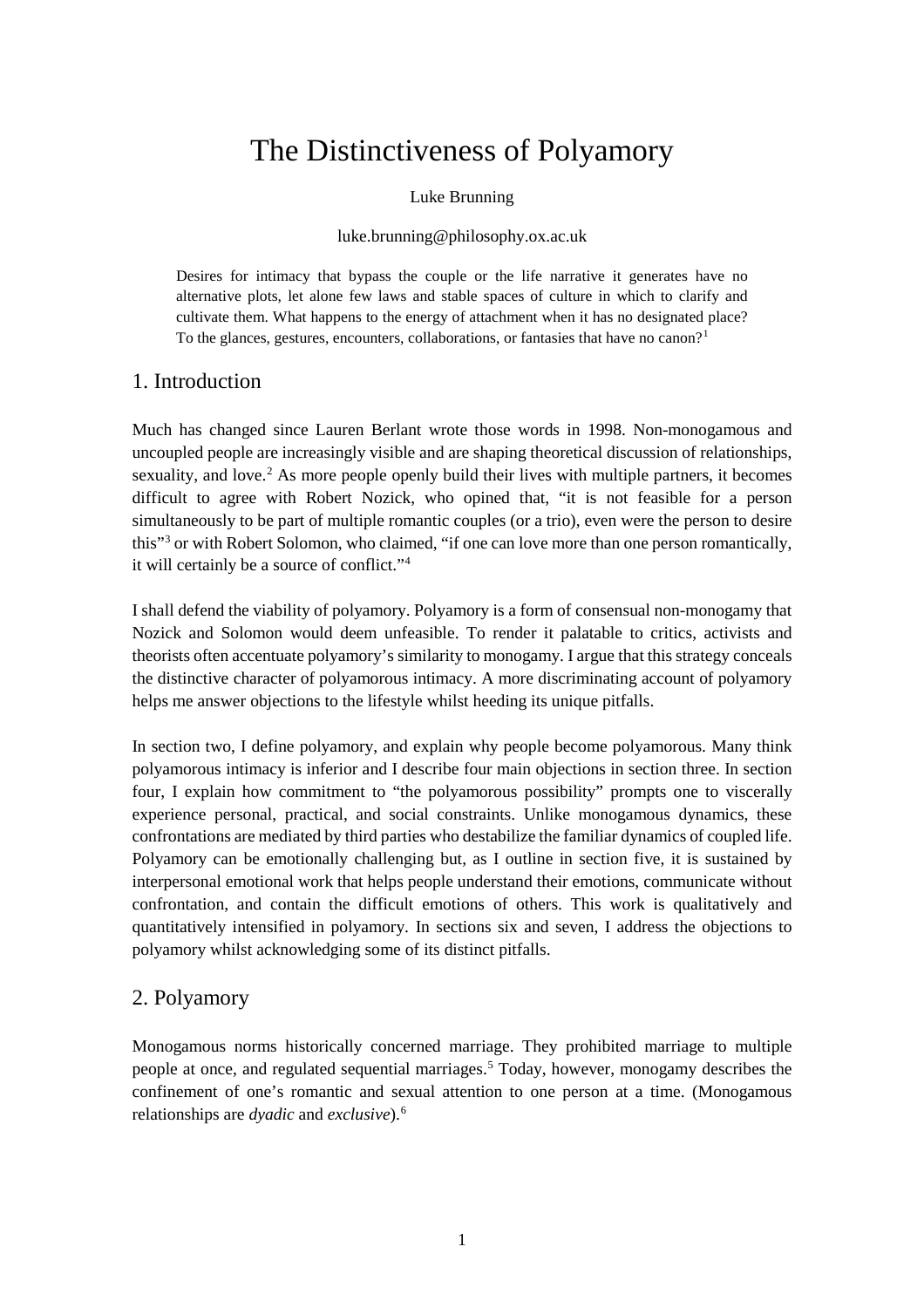# The Distinctiveness of Polyamory

#### Luke Brunning

#### luke.brunning@philosophy.ox.ac.uk

Desires for intimacy that bypass the couple or the life narrative it generates have no alternative plots, let alone few laws and stable spaces of culture in which to clarify and cultivate them. What happens to the energy of attachment when it has no designated place? To the glances, gestures, encounters, collaborations, or fantasies that have no canon?<sup>[1](#page-17-0)</sup>

### 1. Introduction

Much has changed since Lauren Berlant wrote those words in 1998. Non-monogamous and uncoupled people are increasingly visible and are shaping theoretical discussion of relationships, sexuality, and love.<sup>[2](#page-17-1)</sup> As more people openly build their lives with multiple partners, it becomes difficult to agree with Robert Nozick, who opined that, "it is not feasible for a person simultaneously to be part of multiple romantic couples (or a trio), even were the person to desire this"[3](#page-17-2) or with Robert Solomon, who claimed, "if one can love more than one person romantically, it will certainly be a source of conflict."[4](#page-17-3)

I shall defend the viability of polyamory. Polyamory is a form of consensual non-monogamy that Nozick and Solomon would deem unfeasible. To render it palatable to critics, activists and theorists often accentuate polyamory's similarity to monogamy. I argue that this strategy conceals the distinctive character of polyamorous intimacy. A more discriminating account of polyamory helps me answer objections to the lifestyle whilst heeding its unique pitfalls.

In section two, I define polyamory, and explain why people become polyamorous. Many think polyamorous intimacy is inferior and I describe four main objections in section three. In section four, I explain how commitment to "the polyamorous possibility" prompts one to viscerally experience personal, practical, and social constraints. Unlike monogamous dynamics, these confrontations are mediated by third parties who destabilize the familiar dynamics of coupled life. Polyamory can be emotionally challenging but, as I outline in section five, it is sustained by interpersonal emotional work that helps people understand their emotions, communicate without confrontation, and contain the difficult emotions of others. This work is qualitatively and quantitatively intensified in polyamory. In sections six and seven, I address the objections to polyamory whilst acknowledging some of its distinct pitfalls.

### 2. Polyamory

Monogamous norms historically concerned marriage. They prohibited marriage to multiple people at once, and regulated sequential marriages.<sup>[5](#page-17-4)</sup> Today, however, monogamy describes the confinement of one's romantic and sexual attention to one person at a time. (Monogamous relationships are *dyadic* and *exclusive*).[6](#page-17-5)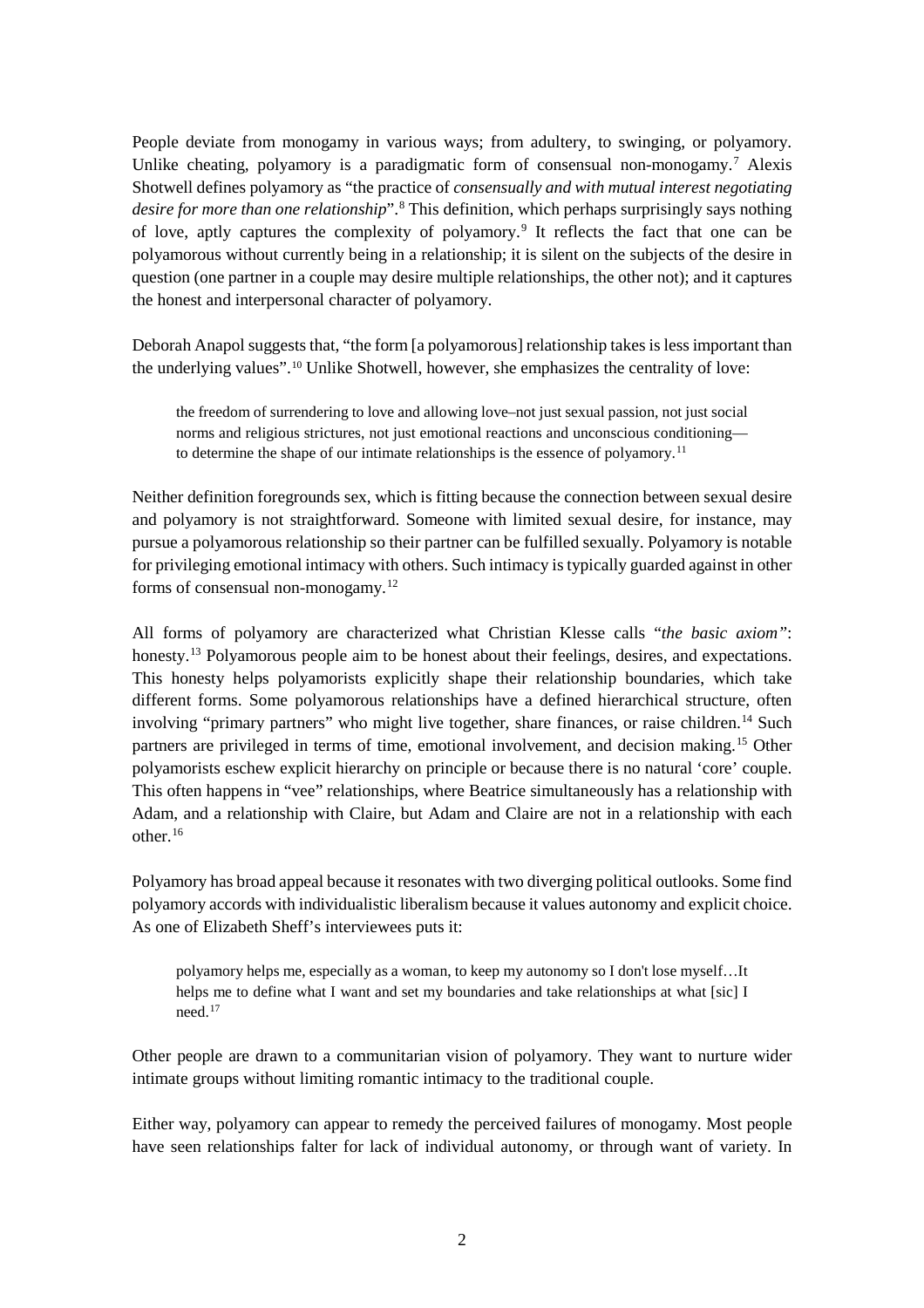People deviate from monogamy in various ways; from adultery, to swinging, or polyamory. Unlike cheating, polyamory is a paradigmatic form of consensual non-monogamy.<sup>[7](#page-18-0)</sup> Alexis Shotwell defines polyamory as "the practice of *consensually and with mutual interest negotiating desire for more than one relationship*".<sup>[8](#page-18-1)</sup> This definition, which perhaps surprisingly says nothing of love, aptly captures the complexity of polyamory.<sup>[9](#page-18-2)</sup> It reflects the fact that one can be polyamorous without currently being in a relationship; it is silent on the subjects of the desire in question (one partner in a couple may desire multiple relationships, the other not); and it captures the honest and interpersonal character of polyamory.

Deborah Anapol suggests that, "the form [a polyamorous] relationship takes is less important than the underlying values".[10](#page-18-3) Unlike Shotwell, however, she emphasizes the centrality of love:

the freedom of surrendering to love and allowing love–not just sexual passion, not just social norms and religious strictures, not just emotional reactions and unconscious conditioning to determine the shape of our intimate relationships is the essence of polyamory.[11](#page-18-4)

Neither definition foregrounds sex, which is fitting because the connection between sexual desire and polyamory is not straightforward. Someone with limited sexual desire, for instance, may pursue a polyamorous relationship so their partner can be fulfilled sexually. Polyamory is notable for privileging emotional intimacy with others. Such intimacy istypically guarded against in other forms of consensual non-monogamy.[12](#page-18-5)

All forms of polyamory are characterized what Christian Klesse calls "*the basic axiom"*: honesty.<sup>[13](#page-18-6)</sup> Polyamorous people aim to be honest about their feelings, desires, and expectations. This honesty helps polyamorists explicitly shape their relationship boundaries, which take different forms. Some polyamorous relationships have a defined hierarchical structure, often involving "primary partners" who might live together, share finances, or raise children.<sup>[14](#page-18-7)</sup> Such partners are privileged in terms of time, emotional involvement, and decision making.<sup>[15](#page-18-8)</sup> Other polyamorists eschew explicit hierarchy on principle or because there is no natural 'core' couple. This often happens in "vee" relationships, where Beatrice simultaneously has a relationship with Adam, and a relationship with Claire, but Adam and Claire are not in a relationship with each other.[16](#page-18-9)

Polyamory has broad appeal because it resonates with two diverging political outlooks. Some find polyamory accords with individualistic liberalism because it values autonomy and explicit choice. As one of Elizabeth Sheff's interviewees puts it:

polyamory helps me, especially as a woman, to keep my autonomy so I don't lose myself…It helps me to define what I want and set my boundaries and take relationships at what [sic] I need.[17](#page-18-10)

Other people are drawn to a communitarian vision of polyamory. They want to nurture wider intimate groups without limiting romantic intimacy to the traditional couple.

Either way, polyamory can appear to remedy the perceived failures of monogamy. Most people have seen relationships falter for lack of individual autonomy, or through want of variety. In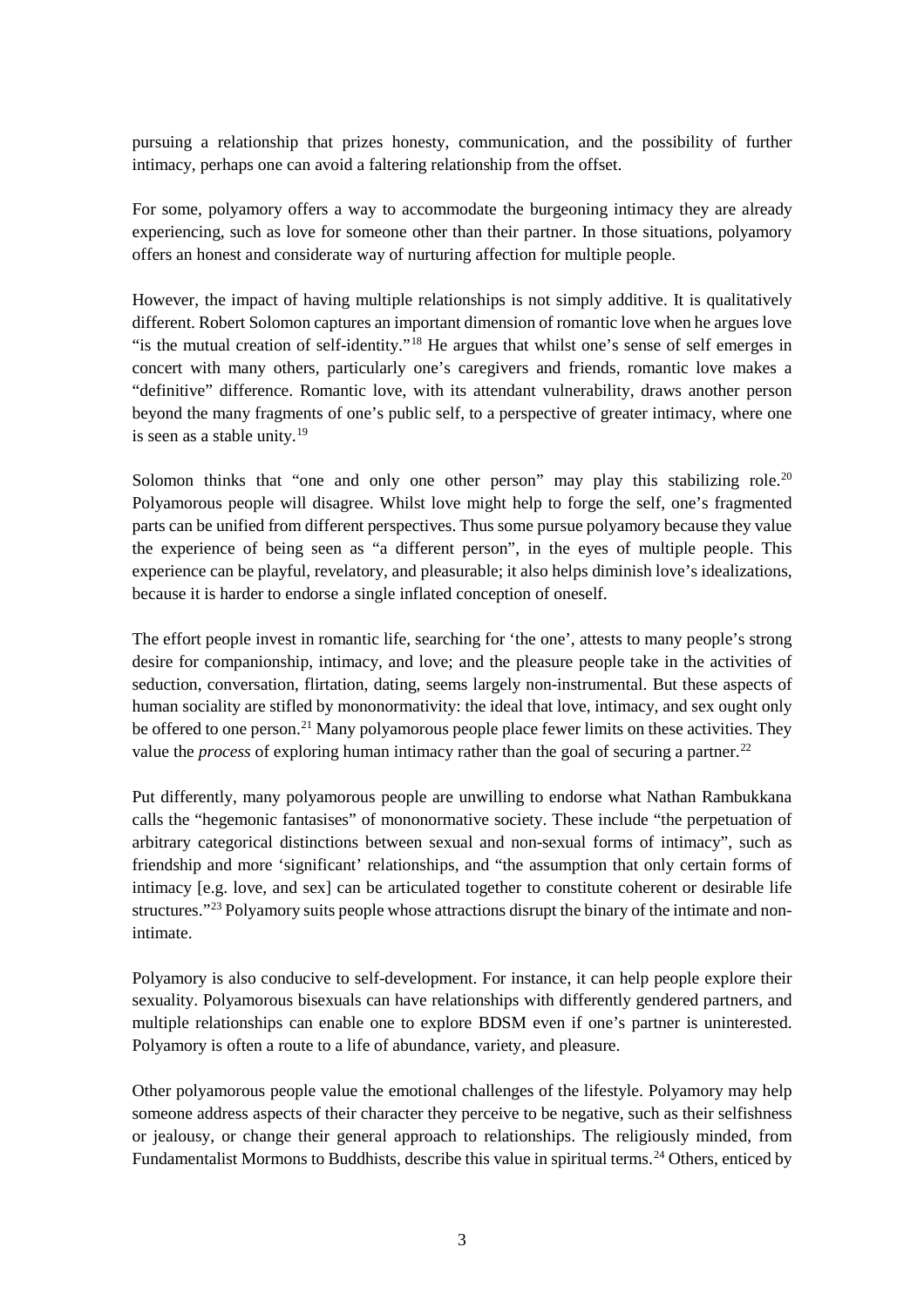pursuing a relationship that prizes honesty, communication, and the possibility of further intimacy, perhaps one can avoid a faltering relationship from the offset.

For some, polyamory offers a way to accommodate the burgeoning intimacy they are already experiencing, such as love for someone other than their partner. In those situations, polyamory offers an honest and considerate way of nurturing affection for multiple people.

However, the impact of having multiple relationships is not simply additive. It is qualitatively different. Robert Solomon captures an important dimension of romantic love when he argues love "is the mutual creation of self-identity."[18](#page-18-11) He argues that whilst one's sense of self emerges in concert with many others, particularly one's caregivers and friends, romantic love makes a "definitive" difference. Romantic love, with its attendant vulnerability, draws another person beyond the many fragments of one's public self, to a perspective of greater intimacy, where one is seen as a stable unity. [19](#page-18-12)

Solomon thinks that "one and only one other person" may play this stabilizing role.<sup>[20](#page-18-13)</sup> Polyamorous people will disagree. Whilst love might help to forge the self, one's fragmented parts can be unified from different perspectives. Thus some pursue polyamory because they value the experience of being seen as "a different person", in the eyes of multiple people. This experience can be playful, revelatory, and pleasurable; it also helps diminish love's idealizations, because it is harder to endorse a single inflated conception of oneself.

The effort people invest in romantic life, searching for 'the one', attests to many people's strong desire for companionship, intimacy, and love; and the pleasure people take in the activities of seduction, conversation, flirtation, dating, seems largely non-instrumental. But these aspects of human sociality are stifled by mononormativity: the ideal that love, intimacy, and sex ought only be offered to one person.<sup>[21](#page-18-14)</sup> Many polyamorous people place fewer limits on these activities. They value the *process* of exploring human intimacy rather than the goal of securing a partner.<sup>[22](#page-18-15)</sup>

Put differently, many polyamorous people are unwilling to endorse what Nathan Rambukkana calls the "hegemonic fantasises" of mononormative society. These include "the perpetuation of arbitrary categorical distinctions between sexual and non-sexual forms of intimacy", such as friendship and more 'significant' relationships, and "the assumption that only certain forms of intimacy [e.g. love, and sex] can be articulated together to constitute coherent or desirable life structures."<sup>[23](#page-18-16)</sup> Polyamory suits people whose attractions disrupt the binary of the intimate and nonintimate.

Polyamory is also conducive to self-development. For instance, it can help people explore their sexuality. Polyamorous bisexuals can have relationships with differently gendered partners, and multiple relationships can enable one to explore BDSM even if one's partner is uninterested. Polyamory is often a route to a life of abundance, variety, and pleasure.

Other polyamorous people value the emotional challenges of the lifestyle. Polyamory may help someone address aspects of their character they perceive to be negative, such as their selfishness or jealousy, or change their general approach to relationships. The religiously minded, from Fundamentalist Mormons to Buddhists, describe this value in spiritual terms.<sup>[24](#page-18-17)</sup> Others, enticed by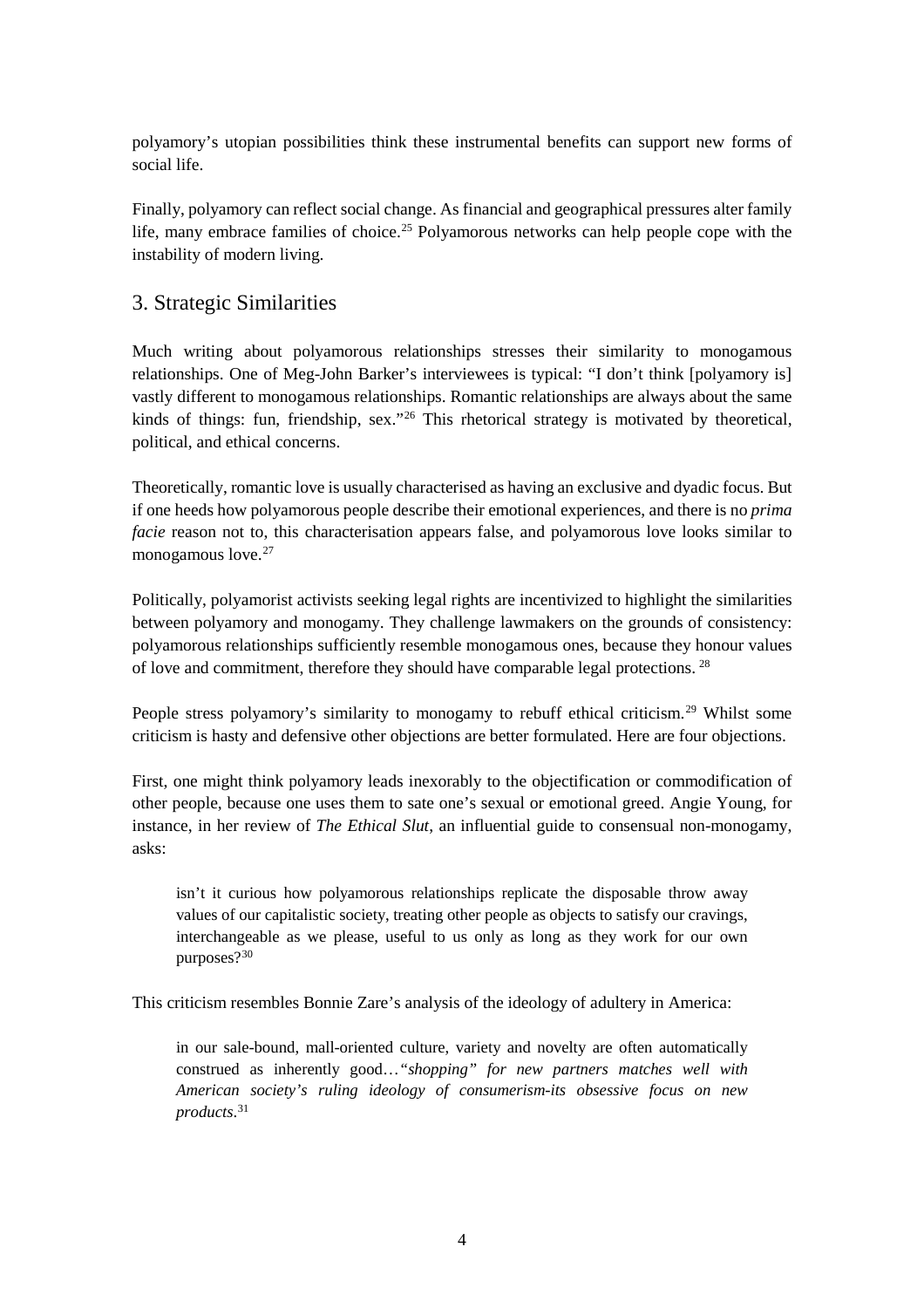polyamory's utopian possibilities think these instrumental benefits can support new forms of social life.

Finally, polyamory can reflect social change. As financial and geographical pressures alter family life, many embrace families of choice.<sup>[25](#page-18-18)</sup> Polyamorous networks can help people cope with the instability of modern living.

# 3. Strategic Similarities

Much writing about polyamorous relationships stresses their similarity to monogamous relationships. One of Meg-John Barker's interviewees is typical: "I don't think [polyamory is] vastly different to monogamous relationships. Romantic relationships are always about the same kinds of things: fun, friendship, sex."<sup>26</sup> This rhetorical strategy is motivated by theoretical, political, and ethical concerns.

Theoretically, romantic love is usually characterised as having an exclusive and dyadic focus. But if one heeds how polyamorous people describe their emotional experiences, and there is no *prima facie* reason not to, this characterisation appears false, and polyamorous love looks similar to monogamous love. [27](#page-18-20)

Politically, polyamorist activists seeking legal rights are incentivized to highlight the similarities between polyamory and monogamy. They challenge lawmakers on the grounds of consistency: polyamorous relationships sufficiently resemble monogamous ones, because they honour values of love and commitment, therefore they should have comparable legal protections. [28](#page-18-21)

People stress polyamory's similarity to monogamy to rebuff ethical criticism.<sup>[29](#page-18-22)</sup> Whilst some criticism is hasty and defensive other objections are better formulated. Here are four objections.

First, one might think polyamory leads inexorably to the objectification or commodification of other people, because one uses them to sate one's sexual or emotional greed. Angie Young, for instance, in her review of *The Ethical Slut*, an influential guide to consensual non-monogamy, asks:

isn't it curious how polyamorous relationships replicate the disposable throw away values of our capitalistic society, treating other people as objects to satisfy our cravings, interchangeable as we please, useful to us only as long as they work for our own purposes?[30](#page-18-23)

This criticism resembles Bonnie Zare's analysis of the ideology of adultery in America:

in our sale-bound, mall-oriented culture, variety and novelty are often automatically construed as inherently good…*"shopping" for new partners matches well with American society's ruling ideology of consumerism-its obsessive focus on new products*. [31](#page-18-24)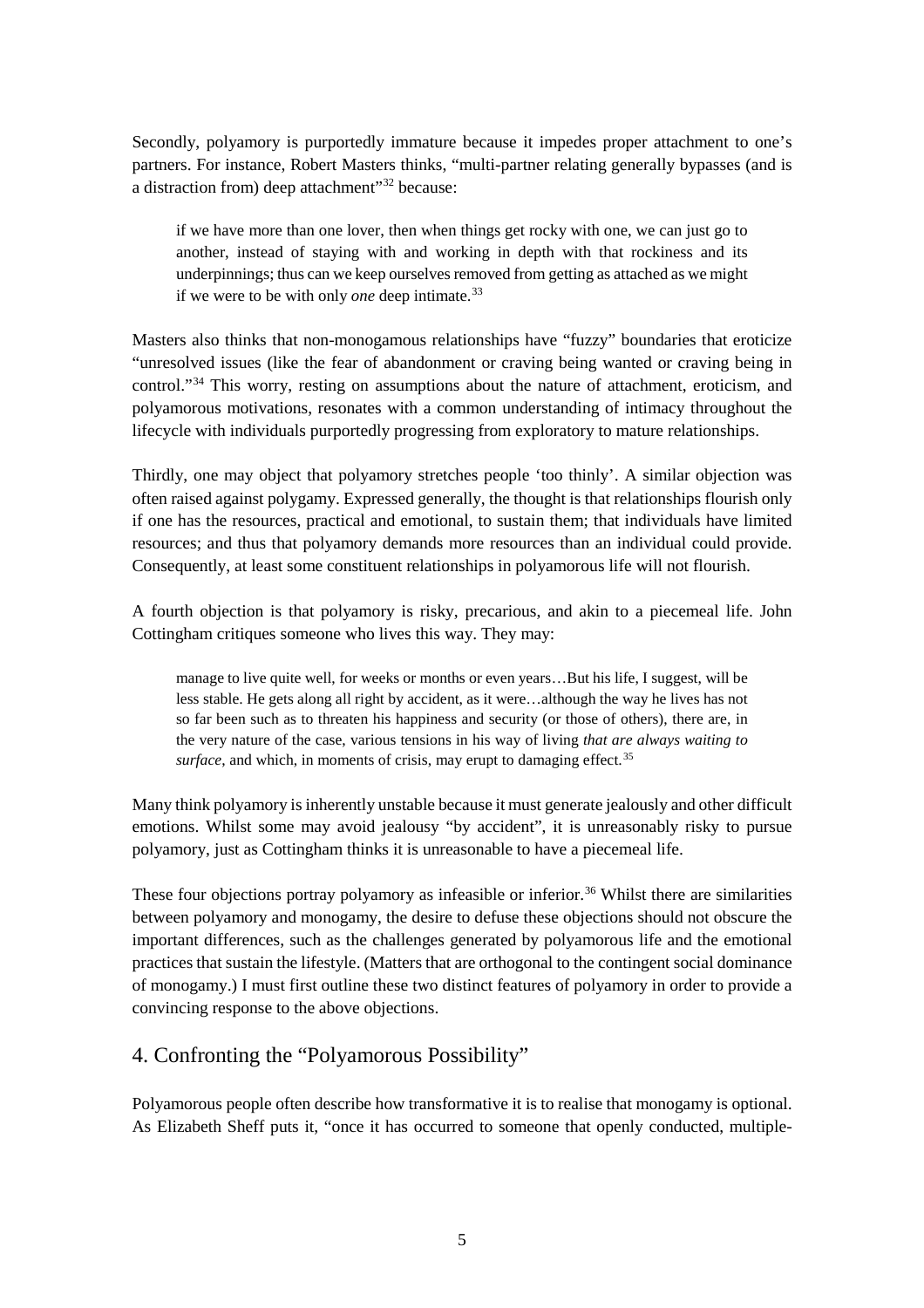Secondly, polyamory is purportedly immature because it impedes proper attachment to one's partners. For instance, Robert Masters thinks, "multi-partner relating generally bypasses (and is a distraction from) deep attachment"[32](#page-18-25) because:

if we have more than one lover, then when things get rocky with one, we can just go to another, instead of staying with and working in depth with that rockiness and its underpinnings; thus can we keep ourselves removed from getting as attached as we might if we were to be with only *one* deep intimate.[33](#page-18-26) 

Masters also thinks that non-monogamous relationships have "fuzzy" boundaries that eroticize "unresolved issues (like the fear of abandonment or craving being wanted or craving being in control."[34](#page-18-0) This worry, resting on assumptions about the nature of attachment, eroticism, and polyamorous motivations, resonates with a common understanding of intimacy throughout the lifecycle with individuals purportedly progressing from exploratory to mature relationships.

Thirdly, one may object that polyamory stretches people 'too thinly'. A similar objection was often raised against polygamy. Expressed generally, the thought is that relationships flourish only if one has the resources, practical and emotional, to sustain them; that individuals have limited resources; and thus that polyamory demands more resources than an individual could provide. Consequently, at least some constituent relationships in polyamorous life will not flourish.

A fourth objection is that polyamory is risky, precarious, and akin to a piecemeal life. John Cottingham critiques someone who lives this way. They may:

manage to live quite well, for weeks or months or even years...But his life, I suggest, will be less stable. He gets along all right by accident, as it were…although the way he lives has not so far been such as to threaten his happiness and security (or those of others), there are, in the very nature of the case, various tensions in his way of living *that are always waiting to surface*, and which, in moments of crisis, may erupt to damaging effect.<sup>[35](#page-18-27)</sup>

Many think polyamory is inherently unstable because it must generate jealously and other difficult emotions. Whilst some may avoid jealousy "by accident", it is unreasonably risky to pursue polyamory, just as Cottingham thinks it is unreasonable to have a piecemeal life.

These four objections portray polyamory as infeasible or inferior.<sup>[36](#page-18-1)</sup> Whilst there are similarities between polyamory and monogamy, the desire to defuse these objections should not obscure the important differences, such as the challenges generated by polyamorous life and the emotional practices that sustain the lifestyle. (Matters that are orthogonal to the contingent social dominance of monogamy.) I must first outline these two distinct features of polyamory in order to provide a convincing response to the above objections.

# 4. Confronting the "Polyamorous Possibility"

Polyamorous people often describe how transformative it is to realise that monogamy is optional. As Elizabeth Sheff puts it, "once it has occurred to someone that openly conducted, multiple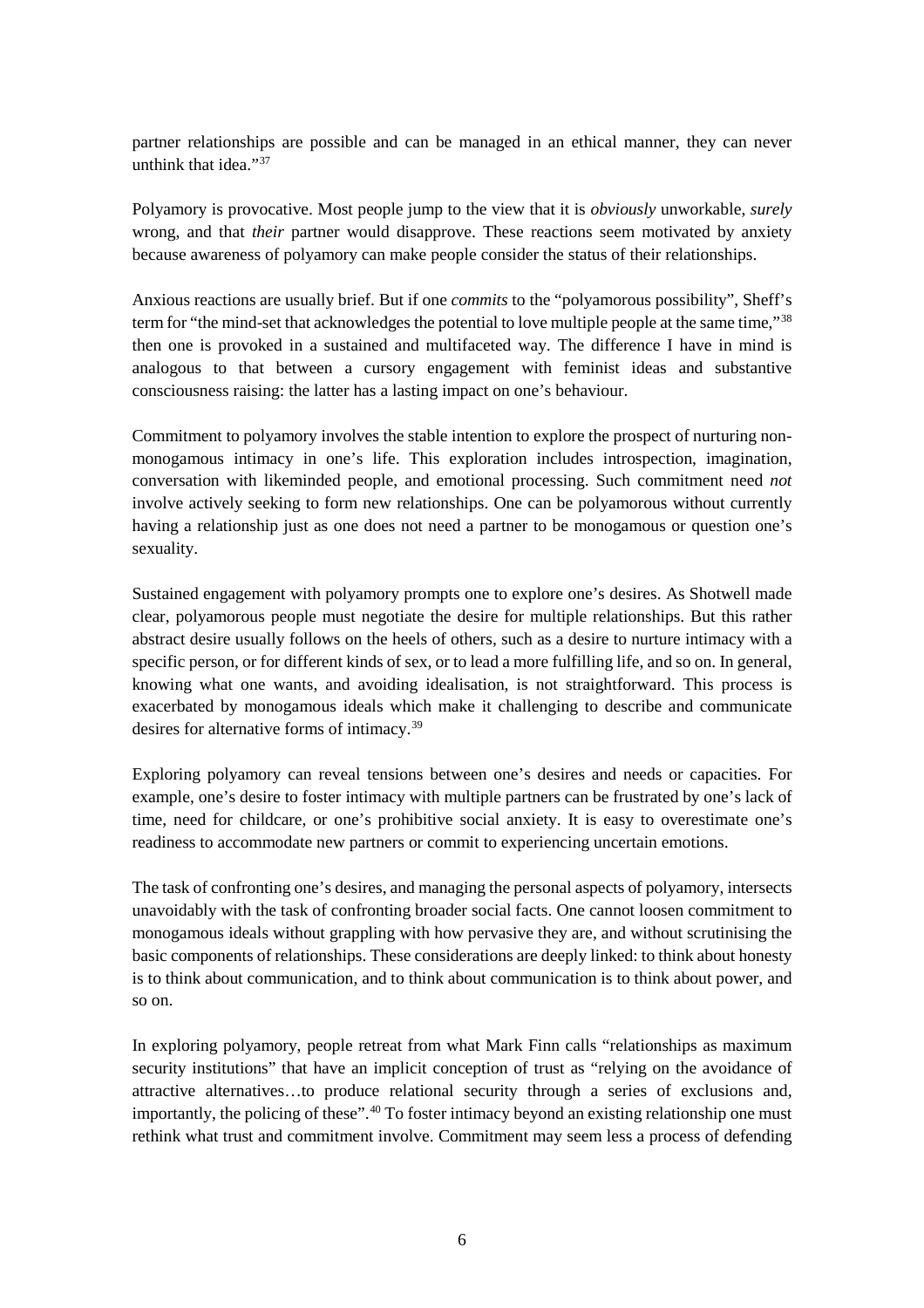partner relationships are possible and can be managed in an ethical manner, they can never unthink that idea."[37](#page-18-28)

Polyamory is provocative. Most people jump to the view that it is *obviously* unworkable, *surely* wrong, and that *their* partner would disapprove. These reactions seem motivated by anxiety because awareness of polyamory can make people consider the status of their relationships.

Anxious reactions are usually brief. But if one *commits* to the "polyamorous possibility", Sheff's term for "the mind-set that acknowledges the potential to love multiple people at the same time,"[38](#page-18-3) then one is provoked in a sustained and multifaceted way. The difference I have in mind is analogous to that between a cursory engagement with feminist ideas and substantive consciousness raising: the latter has a lasting impact on one's behaviour.

Commitment to polyamory involves the stable intention to explore the prospect of nurturing nonmonogamous intimacy in one's life. This exploration includes introspection, imagination, conversation with likeminded people, and emotional processing. Such commitment need *not* involve actively seeking to form new relationships. One can be polyamorous without currently having a relationship just as one does not need a partner to be monogamous or question one's sexuality.

Sustained engagement with polyamory prompts one to explore one's desires. As Shotwell made clear, polyamorous people must negotiate the desire for multiple relationships. But this rather abstract desire usually follows on the heels of others, such as a desire to nurture intimacy with a specific person, or for different kinds of sex, or to lead a more fulfilling life, and so on. In general, knowing what one wants, and avoiding idealisation, is not straightforward. This process is exacerbated by monogamous ideals which make it challenging to describe and communicate desires for alternative forms of intimacy.[39](#page-18-29)

Exploring polyamory can reveal tensions between one's desires and needs or capacities. For example, one's desire to foster intimacy with multiple partners can be frustrated by one's lack of time, need for childcare, or one's prohibitive social anxiety. It is easy to overestimate one's readiness to accommodate new partners or commit to experiencing uncertain emotions.

The task of confronting one's desires, and managing the personal aspects of polyamory, intersects unavoidably with the task of confronting broader social facts. One cannot loosen commitment to monogamous ideals without grappling with how pervasive they are, and without scrutinising the basic components of relationships. These considerations are deeply linked: to think about honesty is to think about communication, and to think about communication is to think about power, and so on.

In exploring polyamory, people retreat from what Mark Finn calls "relationships as maximum security institutions" that have an implicit conception of trust as "relying on the avoidance of attractive alternatives…to produce relational security through a series of exclusions and, importantly, the policing of these".<sup>[40](#page-18-30)</sup> To foster intimacy beyond an existing relationship one must rethink what trust and commitment involve. Commitment may seem less a process of defending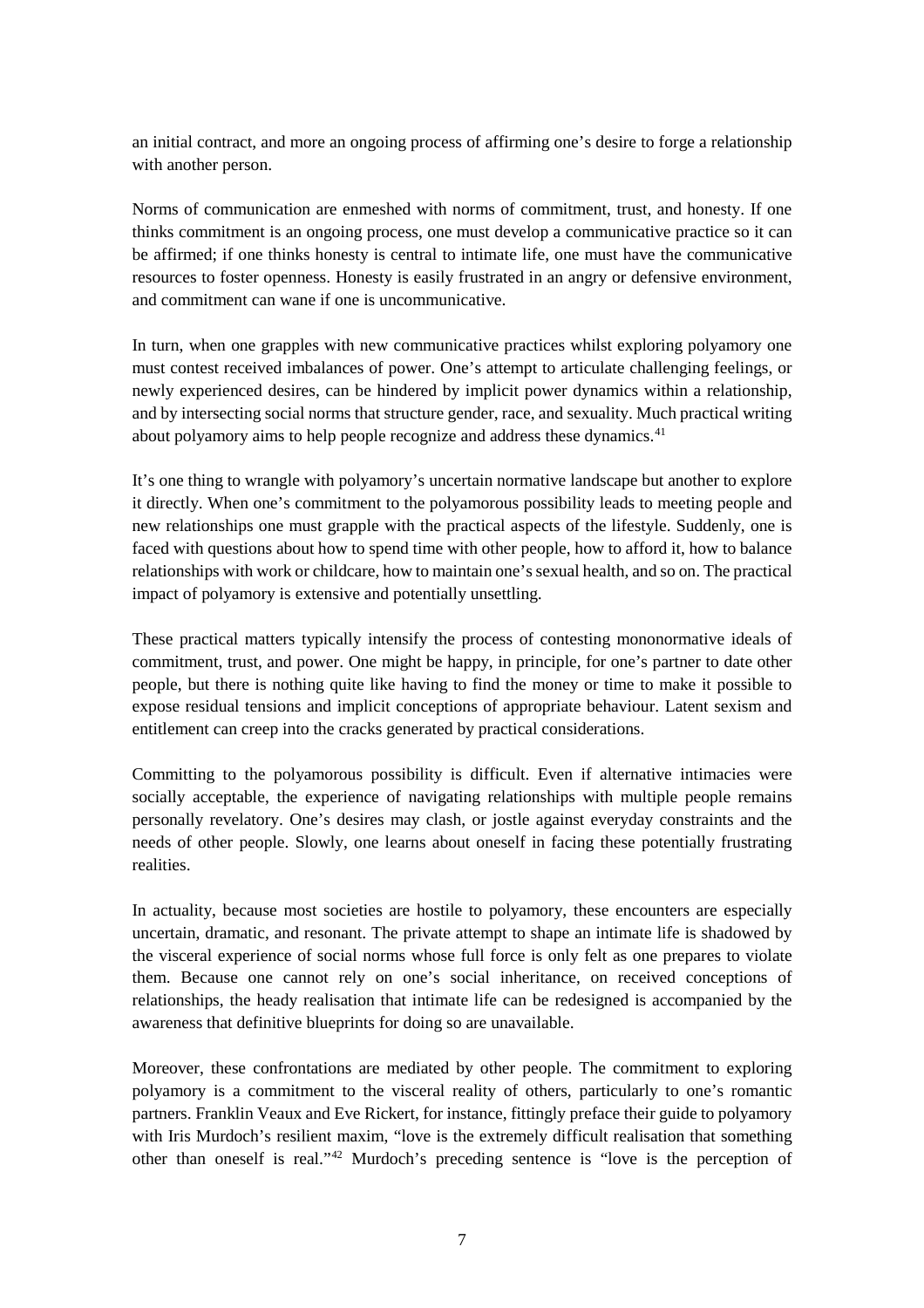an initial contract, and more an ongoing process of affirming one's desire to forge a relationship with another person.

Norms of communication are enmeshed with norms of commitment, trust, and honesty. If one thinks commitment is an ongoing process, one must develop a communicative practice so it can be affirmed; if one thinks honesty is central to intimate life, one must have the communicative resources to foster openness. Honesty is easily frustrated in an angry or defensive environment, and commitment can wane if one is uncommunicative.

In turn, when one grapples with new communicative practices whilst exploring polyamory one must contest received imbalances of power. One's attempt to articulate challenging feelings, or newly experienced desires, can be hindered by implicit power dynamics within a relationship, and by intersecting social norms that structure gender, race, and sexuality. Much practical writing about polyamory aims to help people recognize and address these dynamics.<sup>[41](#page-18-31)</sup>

It's one thing to wrangle with polyamory's uncertain normative landscape but another to explore it directly. When one's commitment to the polyamorous possibility leads to meeting people and new relationships one must grapple with the practical aspects of the lifestyle. Suddenly, one is faced with questions about how to spend time with other people, how to afford it, how to balance relationships with work or childcare, how to maintain one's sexual health, and so on. The practical impact of polyamory is extensive and potentially unsettling.

These practical matters typically intensify the process of contesting mononormative ideals of commitment, trust, and power. One might be happy, in principle, for one's partner to date other people, but there is nothing quite like having to find the money or time to make it possible to expose residual tensions and implicit conceptions of appropriate behaviour. Latent sexism and entitlement can creep into the cracks generated by practical considerations.

Committing to the polyamorous possibility is difficult. Even if alternative intimacies were socially acceptable, the experience of navigating relationships with multiple people remains personally revelatory. One's desires may clash, or jostle against everyday constraints and the needs of other people. Slowly, one learns about oneself in facing these potentially frustrating realities.

In actuality, because most societies are hostile to polyamory, these encounters are especially uncertain, dramatic, and resonant. The private attempt to shape an intimate life is shadowed by the visceral experience of social norms whose full force is only felt as one prepares to violate them. Because one cannot rely on one's social inheritance, on received conceptions of relationships, the heady realisation that intimate life can be redesigned is accompanied by the awareness that definitive blueprints for doing so are unavailable.

Moreover, these confrontations are mediated by other people. The commitment to exploring polyamory is a commitment to the visceral reality of others, particularly to one's romantic partners. Franklin Veaux and Eve Rickert, for instance, fittingly preface their guide to polyamory with Iris Murdoch's resilient maxim, "love is the extremely difficult realisation that something other than oneself is real."[42](#page-18-32) Murdoch's preceding sentence is "love is the perception of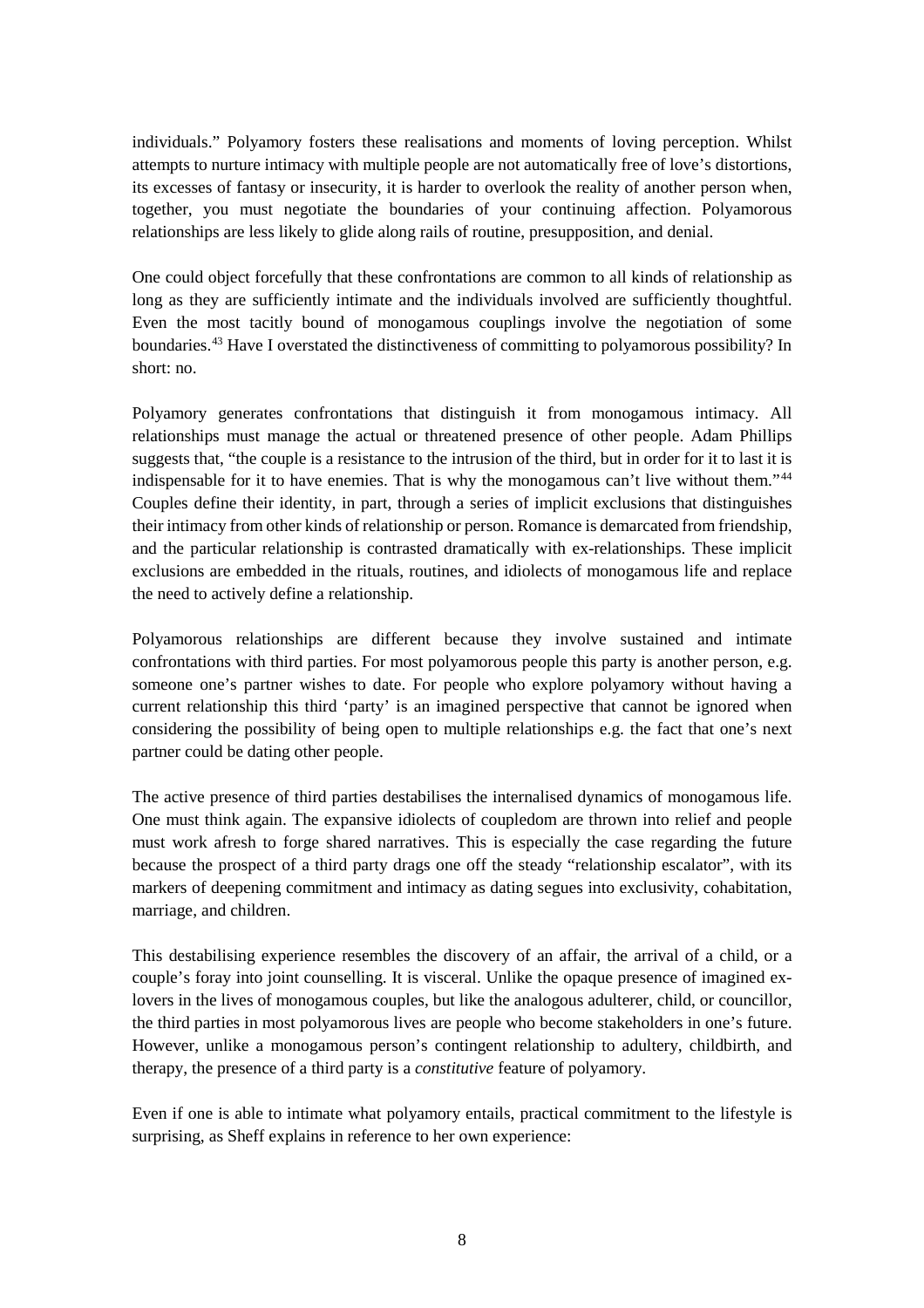individuals." Polyamory fosters these realisations and moments of loving perception. Whilst attempts to nurture intimacy with multiple people are not automatically free of love's distortions, its excesses of fantasy or insecurity, it is harder to overlook the reality of another person when, together, you must negotiate the boundaries of your continuing affection. Polyamorous relationships are less likely to glide along rails of routine, presupposition, and denial.

One could object forcefully that these confrontations are common to all kinds of relationship as long as they are sufficiently intimate and the individuals involved are sufficiently thoughtful. Even the most tacitly bound of monogamous couplings involve the negotiation of some boundaries. [43](#page-18-33) Have I overstated the distinctiveness of committing to polyamorous possibility? In short: no.

Polyamory generates confrontations that distinguish it from monogamous intimacy. All relationships must manage the actual or threatened presence of other people. Adam Phillips suggests that, "the couple is a resistance to the intrusion of the third, but in order for it to last it is indispensable for it to have enemies. That is why the monogamous can't live without them."[44](#page-18-34) Couples define their identity, in part, through a series of implicit exclusions that distinguishes their intimacy from other kinds of relationship or person. Romance is demarcated from friendship, and the particular relationship is contrasted dramatically with ex-relationships. These implicit exclusions are embedded in the rituals, routines, and idiolects of monogamous life and replace the need to actively define a relationship.

Polyamorous relationships are different because they involve sustained and intimate confrontations with third parties. For most polyamorous people this party is another person, e.g. someone one's partner wishes to date. For people who explore polyamory without having a current relationship this third 'party' is an imagined perspective that cannot be ignored when considering the possibility of being open to multiple relationships e.g. the fact that one's next partner could be dating other people.

The active presence of third parties destabilises the internalised dynamics of monogamous life. One must think again. The expansive idiolects of coupledom are thrown into relief and people must work afresh to forge shared narratives. This is especially the case regarding the future because the prospect of a third party drags one off the steady "relationship escalator", with its markers of deepening commitment and intimacy as dating segues into exclusivity, cohabitation, marriage, and children.

This destabilising experience resembles the discovery of an affair, the arrival of a child, or a couple's foray into joint counselling. It is visceral. Unlike the opaque presence of imagined exlovers in the lives of monogamous couples, but like the analogous adulterer, child, or councillor, the third parties in most polyamorous lives are people who become stakeholders in one's future. However, unlike a monogamous person's contingent relationship to adultery, childbirth, and therapy, the presence of a third party is a *constitutive* feature of polyamory.

Even if one is able to intimate what polyamory entails, practical commitment to the lifestyle is surprising, as Sheff explains in reference to her own experience: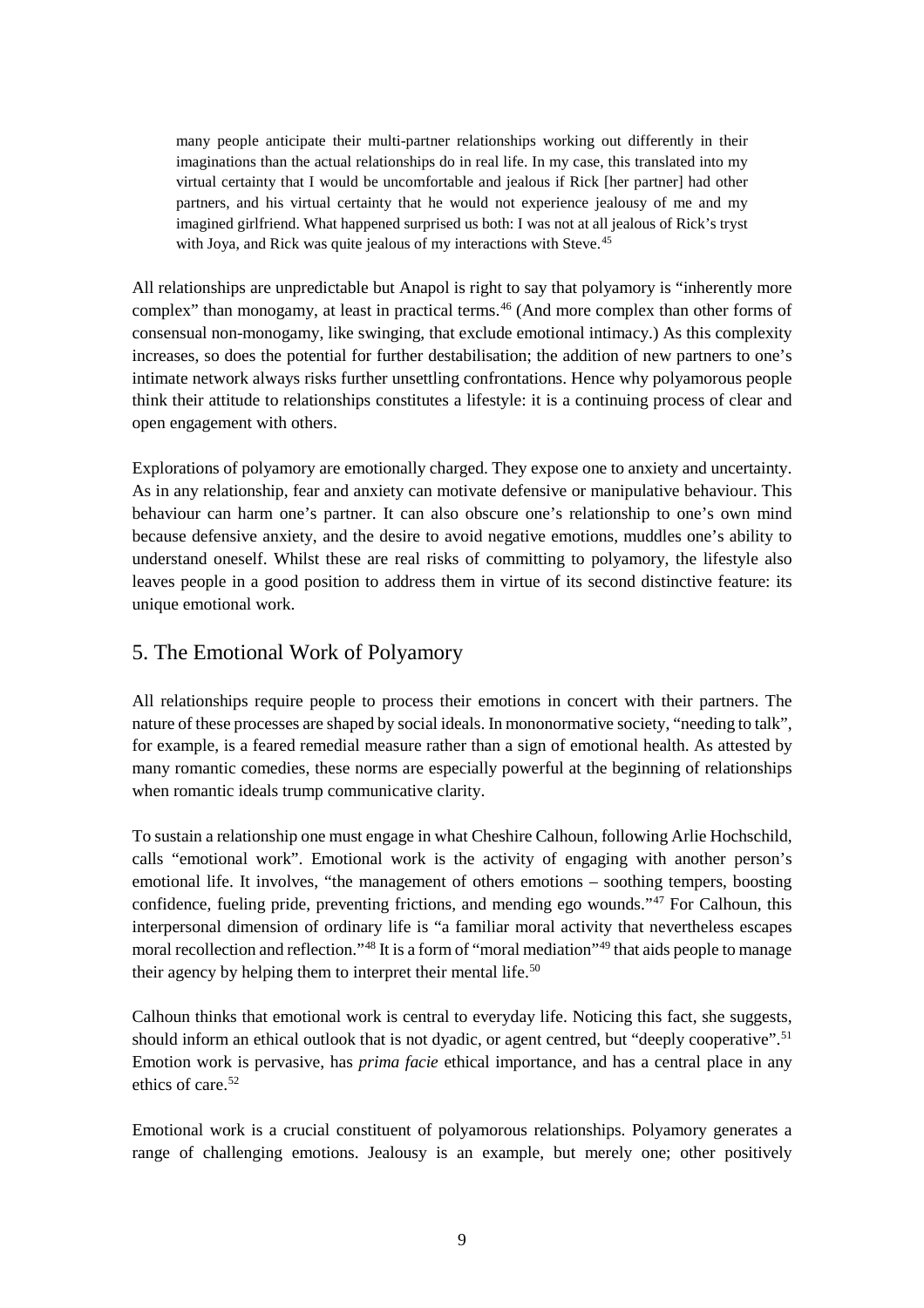many people anticipate their multi-partner relationships working out differently in their imaginations than the actual relationships do in real life. In my case, this translated into my virtual certainty that I would be uncomfortable and jealous if Rick [her partner] had other partners, and his virtual certainty that he would not experience jealousy of me and my imagined girlfriend. What happened surprised us both: I was not at all jealous of Rick's tryst with Joya, and Rick was quite jealous of my interactions with Steve.<sup>[45](#page-18-35)</sup>

All relationships are unpredictable but Anapol is right to say that polyamory is "inherently more complex" than monogamy, at least in practical terms.<sup>[46](#page-18-36)</sup> (And more complex than other forms of consensual non-monogamy, like swinging, that exclude emotional intimacy.) As this complexity increases, so does the potential for further destabilisation; the addition of new partners to one's intimate network always risks further unsettling confrontations. Hence why polyamorous people think their attitude to relationships constitutes a lifestyle: it is a continuing process of clear and open engagement with others.

Explorations of polyamory are emotionally charged. They expose one to anxiety and uncertainty. As in any relationship, fear and anxiety can motivate defensive or manipulative behaviour. This behaviour can harm one's partner. It can also obscure one's relationship to one's own mind because defensive anxiety, and the desire to avoid negative emotions, muddles one's ability to understand oneself. Whilst these are real risks of committing to polyamory, the lifestyle also leaves people in a good position to address them in virtue of its second distinctive feature: its unique emotional work.

## 5. The Emotional Work of Polyamory

All relationships require people to process their emotions in concert with their partners. The nature of these processes are shaped by social ideals. In mononormative society, "needing to talk", for example, is a feared remedial measure rather than a sign of emotional health. As attested by many romantic comedies, these norms are especially powerful at the beginning of relationships when romantic ideals trump communicative clarity.

To sustain a relationship one must engage in what Cheshire Calhoun, following Arlie Hochschild, calls "emotional work". Emotional work is the activity of engaging with another person's emotional life. It involves, "the management of others emotions – soothing tempers, boosting confidence, fueling pride, preventing frictions, and mending ego wounds."[47](#page-18-37) For Calhoun, this interpersonal dimension of ordinary life is "a familiar moral activity that nevertheless escapes moral recollection and reflection."<sup>[48](#page-18-38)</sup> It is a form of "moral mediation"<sup>[49](#page-18-39)</sup> that aids people to manage their agency by helping them to interpret their mental life.<sup>[50](#page-18-40)</sup>

Calhoun thinks that emotional work is central to everyday life. Noticing this fact, she suggests, should inform an ethical outlook that is not dyadic, or agent centred, but "deeply cooperative".<sup>[51](#page-18-41)</sup> Emotion work is pervasive, has *prima facie* ethical importance, and has a central place in any ethics of care  $52$ 

Emotional work is a crucial constituent of polyamorous relationships. Polyamory generates a range of challenging emotions. Jealousy is an example, but merely one; other positively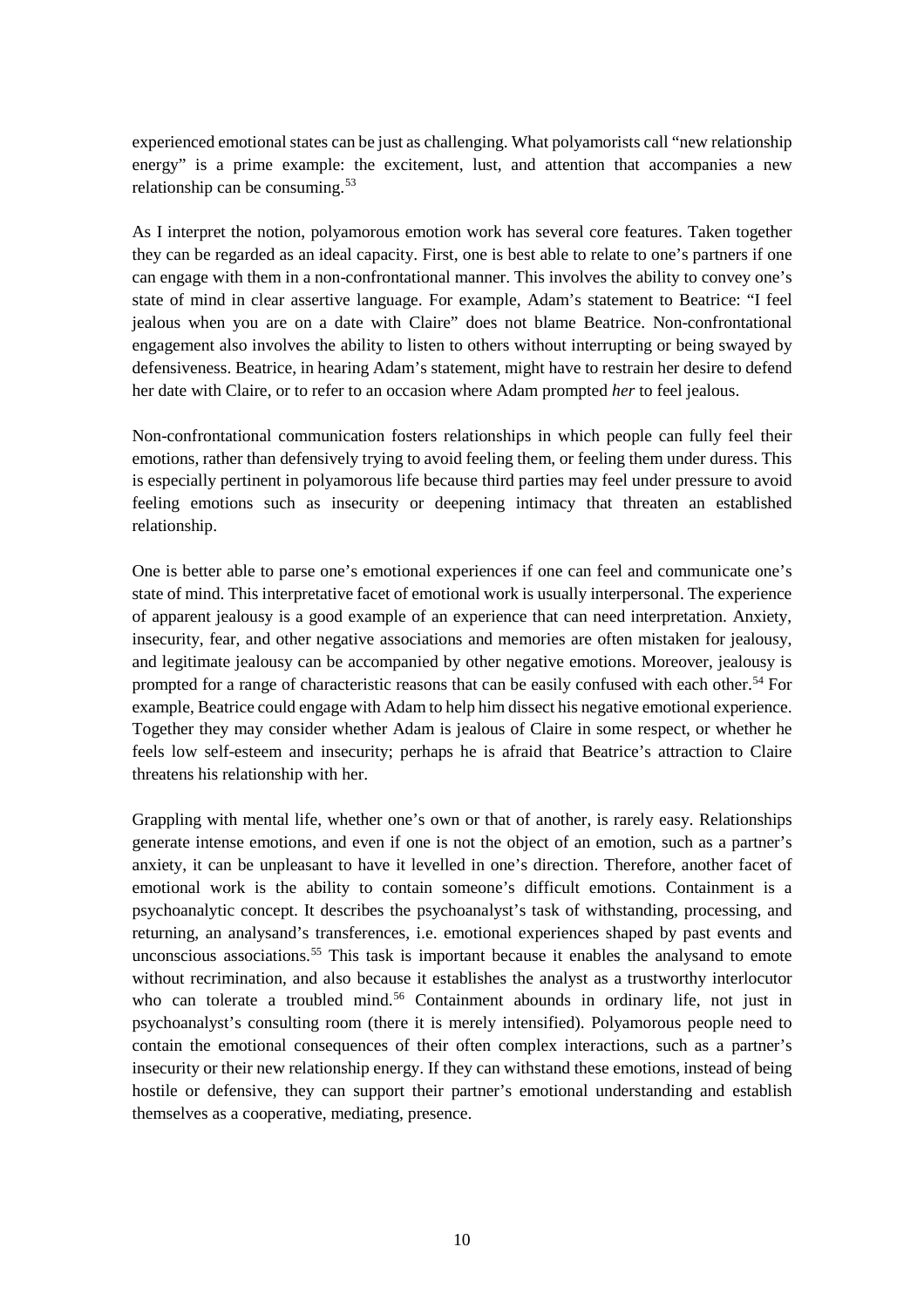experienced emotional states can be just as challenging. What polyamorists call "new relationship energy" is a prime example: the excitement, lust, and attention that accompanies a new relationship can be consuming. [53](#page-18-43)

As I interpret the notion, polyamorous emotion work has several core features. Taken together they can be regarded as an ideal capacity. First, one is best able to relate to one's partners if one can engage with them in a non-confrontational manner. This involves the ability to convey one's state of mind in clear assertive language. For example, Adam's statement to Beatrice: "I feel jealous when you are on a date with Claire" does not blame Beatrice. Non-confrontational engagement also involves the ability to listen to others without interrupting or being swayed by defensiveness. Beatrice, in hearing Adam's statement, might have to restrain her desire to defend her date with Claire, or to refer to an occasion where Adam prompted *her* to feel jealous.

Non-confrontational communication fosters relationships in which people can fully feel their emotions, rather than defensively trying to avoid feeling them, or feeling them under duress. This is especially pertinent in polyamorous life because third parties may feel under pressure to avoid feeling emotions such as insecurity or deepening intimacy that threaten an established relationship.

One is better able to parse one's emotional experiences if one can feel and communicate one's state of mind. This interpretative facet of emotional work is usually interpersonal. The experience of apparent jealousy is a good example of an experience that can need interpretation. Anxiety, insecurity, fear, and other negative associations and memories are often mistaken for jealousy, and legitimate jealousy can be accompanied by other negative emotions. Moreover, jealousy is prompted for a range of characteristic reasons that can be easily confused with each other.<sup>[54](#page-18-44)</sup> For example, Beatrice could engage with Adam to help him dissect his negative emotional experience. Together they may consider whether Adam is jealous of Claire in some respect, or whether he feels low self-esteem and insecurity; perhaps he is afraid that Beatrice's attraction to Claire threatens his relationship with her.

Grappling with mental life, whether one's own or that of another, is rarely easy. Relationships generate intense emotions, and even if one is not the object of an emotion, such as a partner's anxiety, it can be unpleasant to have it levelled in one's direction. Therefore, another facet of emotional work is the ability to contain someone's difficult emotions. Containment is a psychoanalytic concept. It describes the psychoanalyst's task of withstanding, processing, and returning, an analysand's transferences, i.e. emotional experiences shaped by past events and unconscious associations.[55](#page-18-16) This task is important because it enables the analysand to emote without recrimination, and also because it establishes the analyst as a trustworthy interlocutor who can tolerate a troubled mind.<sup>[56](#page-18-45)</sup> Containment abounds in ordinary life, not just in psychoanalyst's consulting room (there it is merely intensified). Polyamorous people need to contain the emotional consequences of their often complex interactions, such as a partner's insecurity or their new relationship energy. If they can withstand these emotions, instead of being hostile or defensive, they can support their partner's emotional understanding and establish themselves as a cooperative, mediating, presence.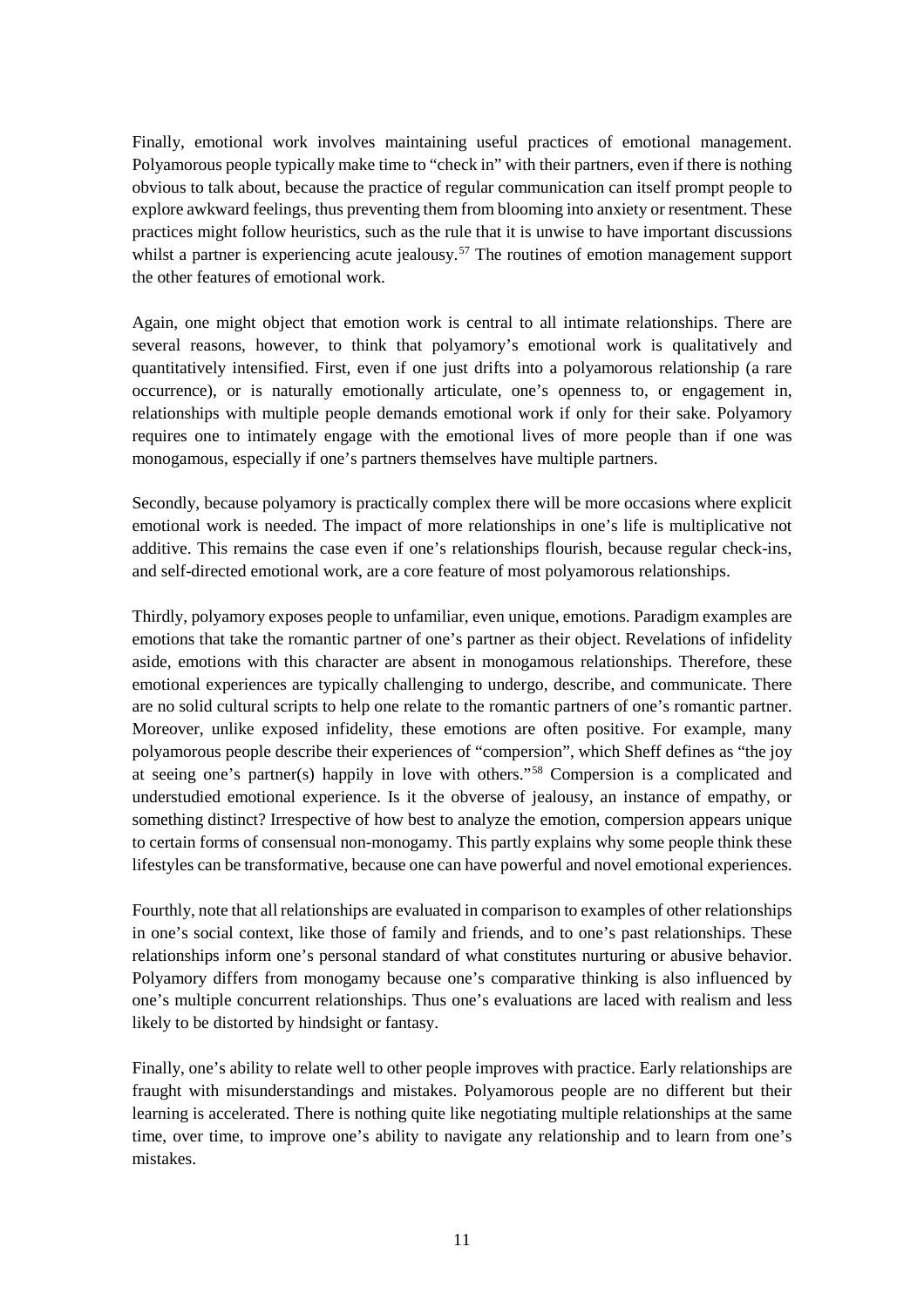Finally, emotional work involves maintaining useful practices of emotional management. Polyamorous people typically make time to "check in" with their partners, even if there is nothing obvious to talk about, because the practice of regular communication can itself prompt people to explore awkward feelings, thus preventing them from blooming into anxiety or resentment. These practices might follow heuristics, such as the rule that it is unwise to have important discussions whilst a partner is experiencing acute jealousy.<sup>[57](#page-18-46)</sup> The routines of emotion management support the other features of emotional work.

Again, one might object that emotion work is central to all intimate relationships. There are several reasons, however, to think that polyamory's emotional work is qualitatively and quantitatively intensified. First, even if one just drifts into a polyamorous relationship (a rare occurrence), or is naturally emotionally articulate, one's openness to, or engagement in, relationships with multiple people demands emotional work if only for their sake. Polyamory requires one to intimately engage with the emotional lives of more people than if one was monogamous, especially if one's partners themselves have multiple partners.

Secondly, because polyamory is practically complex there will be more occasions where explicit emotional work is needed. The impact of more relationships in one's life is multiplicative not additive. This remains the case even if one's relationships flourish, because regular check-ins, and self-directed emotional work, are a core feature of most polyamorous relationships.

Thirdly, polyamory exposes people to unfamiliar, even unique, emotions. Paradigm examples are emotions that take the romantic partner of one's partner as their object. Revelations of infidelity aside, emotions with this character are absent in monogamous relationships. Therefore, these emotional experiences are typically challenging to undergo, describe, and communicate. There are no solid cultural scripts to help one relate to the romantic partners of one's romantic partner. Moreover, unlike exposed infidelity, these emotions are often positive. For example, many polyamorous people describe their experiences of "compersion", which Sheff defines as "the joy at seeing one's partner(s) happily in love with others."[58](#page-18-18) Compersion is a complicated and understudied emotional experience. Is it the obverse of jealousy, an instance of empathy, or something distinct? Irrespective of how best to analyze the emotion, compersion appears unique to certain forms of consensual non-monogamy. This partly explains why some people think these lifestyles can be transformative, because one can have powerful and novel emotional experiences.

Fourthly, note that all relationships are evaluated in comparison to examples of other relationships in one's social context, like those of family and friends, and to one's past relationships. These relationships inform one's personal standard of what constitutes nurturing or abusive behavior. Polyamory differs from monogamy because one's comparative thinking is also influenced by one's multiple concurrent relationships. Thus one's evaluations are laced with realism and less likely to be distorted by hindsight or fantasy.

Finally, one's ability to relate well to other people improves with practice. Early relationships are fraught with misunderstandings and mistakes. Polyamorous people are no different but their learning is accelerated. There is nothing quite like negotiating multiple relationships at the same time, over time, to improve one's ability to navigate any relationship and to learn from one's mistakes.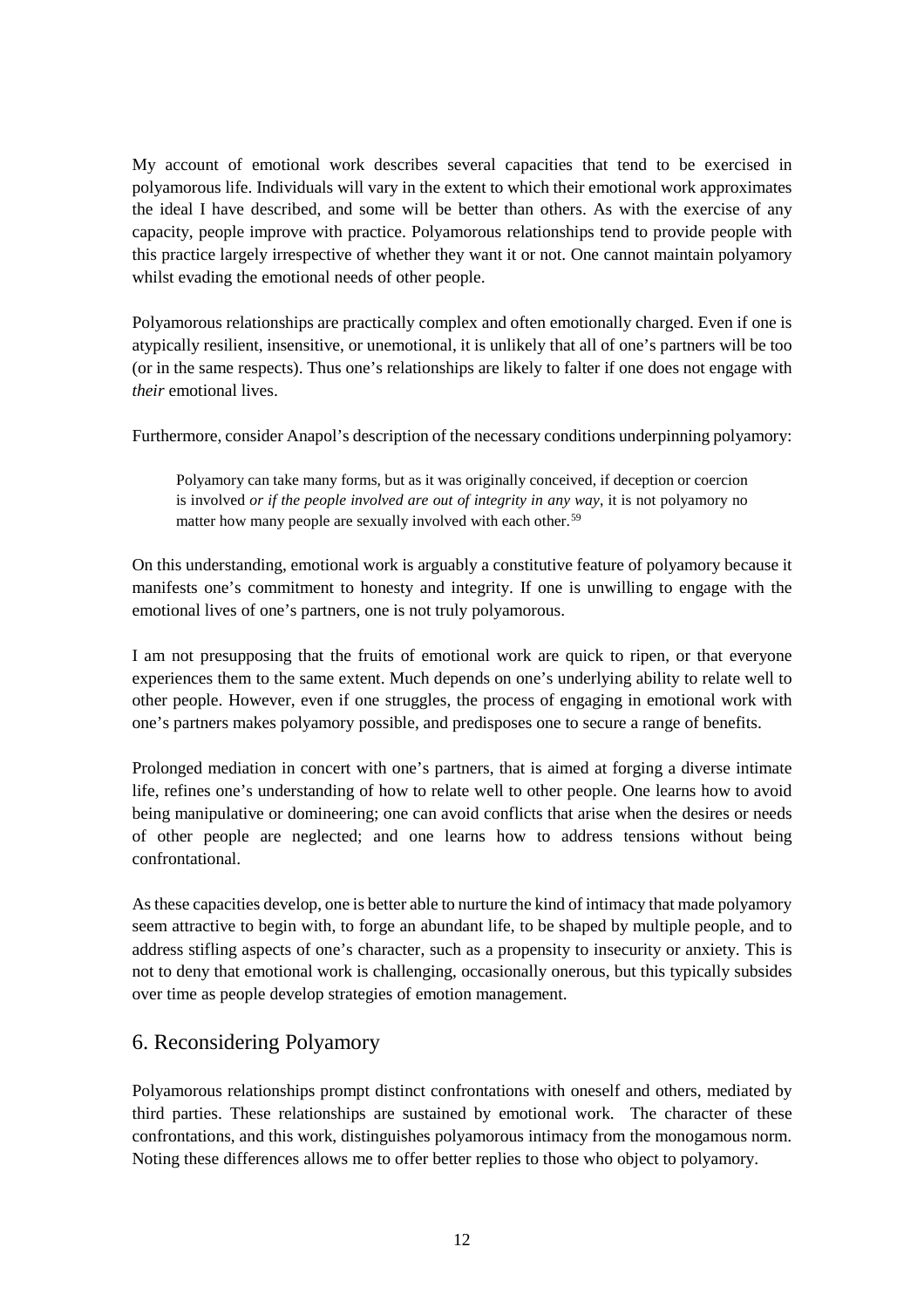My account of emotional work describes several capacities that tend to be exercised in polyamorous life. Individuals will vary in the extent to which their emotional work approximates the ideal I have described, and some will be better than others. As with the exercise of any capacity, people improve with practice. Polyamorous relationships tend to provide people with this practice largely irrespective of whether they want it or not. One cannot maintain polyamory whilst evading the emotional needs of other people.

Polyamorous relationships are practically complex and often emotionally charged. Even if one is atypically resilient, insensitive, or unemotional, it is unlikely that all of one's partners will be too (or in the same respects). Thus one's relationships are likely to falter if one does not engage with *their* emotional lives.

Furthermore, consider Anapol's description of the necessary conditions underpinning polyamory:

Polyamory can take many forms, but as it was originally conceived, if deception or coercion is involved *or if the people involved are out of integrity in any way*, it is not polyamory no matter how many people are sexually involved with each other.<sup>[59](#page-18-19)</sup>

On this understanding, emotional work is arguably a constitutive feature of polyamory because it manifests one's commitment to honesty and integrity. If one is unwilling to engage with the emotional lives of one's partners, one is not truly polyamorous.

I am not presupposing that the fruits of emotional work are quick to ripen, or that everyone experiences them to the same extent. Much depends on one's underlying ability to relate well to other people. However, even if one struggles, the process of engaging in emotional work with one's partners makes polyamory possible, and predisposes one to secure a range of benefits.

Prolonged mediation in concert with one's partners, that is aimed at forging a diverse intimate life, refines one's understanding of how to relate well to other people. One learns how to avoid being manipulative or domineering; one can avoid conflicts that arise when the desires or needs of other people are neglected; and one learns how to address tensions without being confrontational.

As these capacities develop, one is better able to nurture the kind of intimacy that made polyamory seem attractive to begin with, to forge an abundant life, to be shaped by multiple people, and to address stifling aspects of one's character, such as a propensity to insecurity or anxiety. This is not to deny that emotional work is challenging, occasionally onerous, but this typically subsides over time as people develop strategies of emotion management.

# 6. Reconsidering Polyamory

Polyamorous relationships prompt distinct confrontations with oneself and others, mediated by third parties. These relationships are sustained by emotional work. The character of these confrontations, and this work, distinguishes polyamorous intimacy from the monogamous norm. Noting these differences allows me to offer better replies to those who object to polyamory.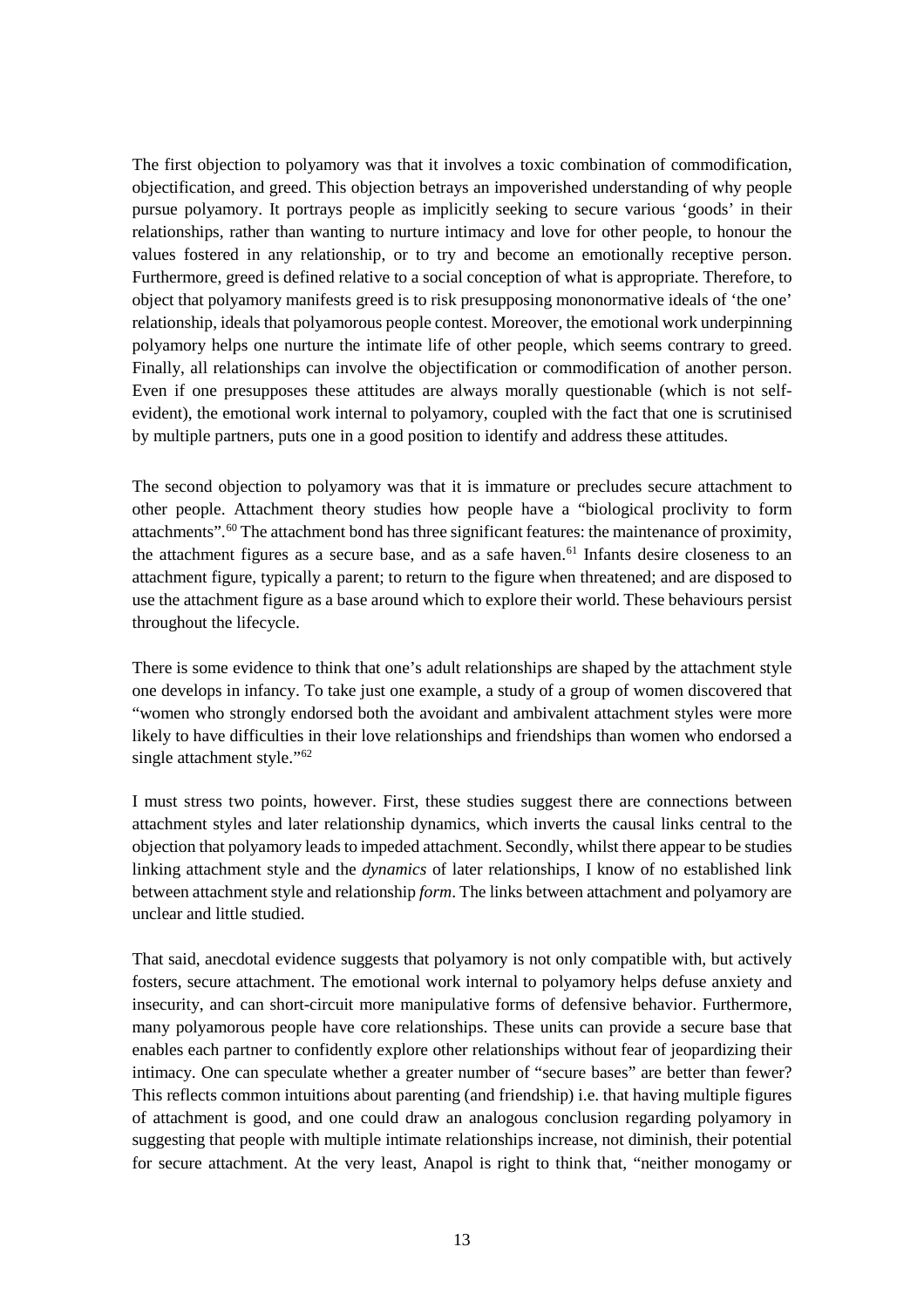The first objection to polyamory was that it involves a toxic combination of commodification, objectification, and greed. This objection betrays an impoverished understanding of why people pursue polyamory. It portrays people as implicitly seeking to secure various 'goods' in their relationships, rather than wanting to nurture intimacy and love for other people, to honour the values fostered in any relationship, or to try and become an emotionally receptive person. Furthermore, greed is defined relative to a social conception of what is appropriate. Therefore, to object that polyamory manifests greed is to risk presupposing mononormative ideals of 'the one' relationship, ideals that polyamorous people contest. Moreover, the emotional work underpinning polyamory helps one nurture the intimate life of other people, which seems contrary to greed. Finally, all relationships can involve the objectification or commodification of another person. Even if one presupposes these attitudes are always morally questionable (which is not selfevident), the emotional work internal to polyamory, coupled with the fact that one is scrutinised by multiple partners, puts one in a good position to identify and address these attitudes.

The second objection to polyamory was that it is immature or precludes secure attachment to other people. Attachment theory studies how people have a "biological proclivity to form attachments".[60](#page-18-20) The attachment bond has three significant features: the maintenance of proximity, the attachment figures as a secure base, and as a safe haven.<sup>[61](#page-18-47)</sup> Infants desire closeness to an attachment figure, typically a parent; to return to the figure when threatened; and are disposed to use the attachment figure as a base around which to explore their world. These behaviours persist throughout the lifecycle.

There is some evidence to think that one's adult relationships are shaped by the attachment style one develops in infancy. To take just one example, a study of a group of women discovered that "women who strongly endorsed both the avoidant and ambivalent attachment styles were more likely to have difficulties in their love relationships and friendships than women who endorsed a single attachment style."<sup>[62](#page-18-48)</sup>

I must stress two points, however. First, these studies suggest there are connections between attachment styles and later relationship dynamics, which inverts the causal links central to the objection that polyamory leads to impeded attachment. Secondly, whilst there appear to be studies linking attachment style and the *dynamics* of later relationships, I know of no established link between attachment style and relationship *form*. The links between attachment and polyamory are unclear and little studied.

That said, anecdotal evidence suggests that polyamory is not only compatible with, but actively fosters, secure attachment. The emotional work internal to polyamory helps defuse anxiety and insecurity, and can short-circuit more manipulative forms of defensive behavior. Furthermore, many polyamorous people have core relationships. These units can provide a secure base that enables each partner to confidently explore other relationships without fear of jeopardizing their intimacy. One can speculate whether a greater number of "secure bases" are better than fewer? This reflects common intuitions about parenting (and friendship) i.e. that having multiple figures of attachment is good, and one could draw an analogous conclusion regarding polyamory in suggesting that people with multiple intimate relationships increase, not diminish, their potential for secure attachment. At the very least, Anapol is right to think that, "neither monogamy or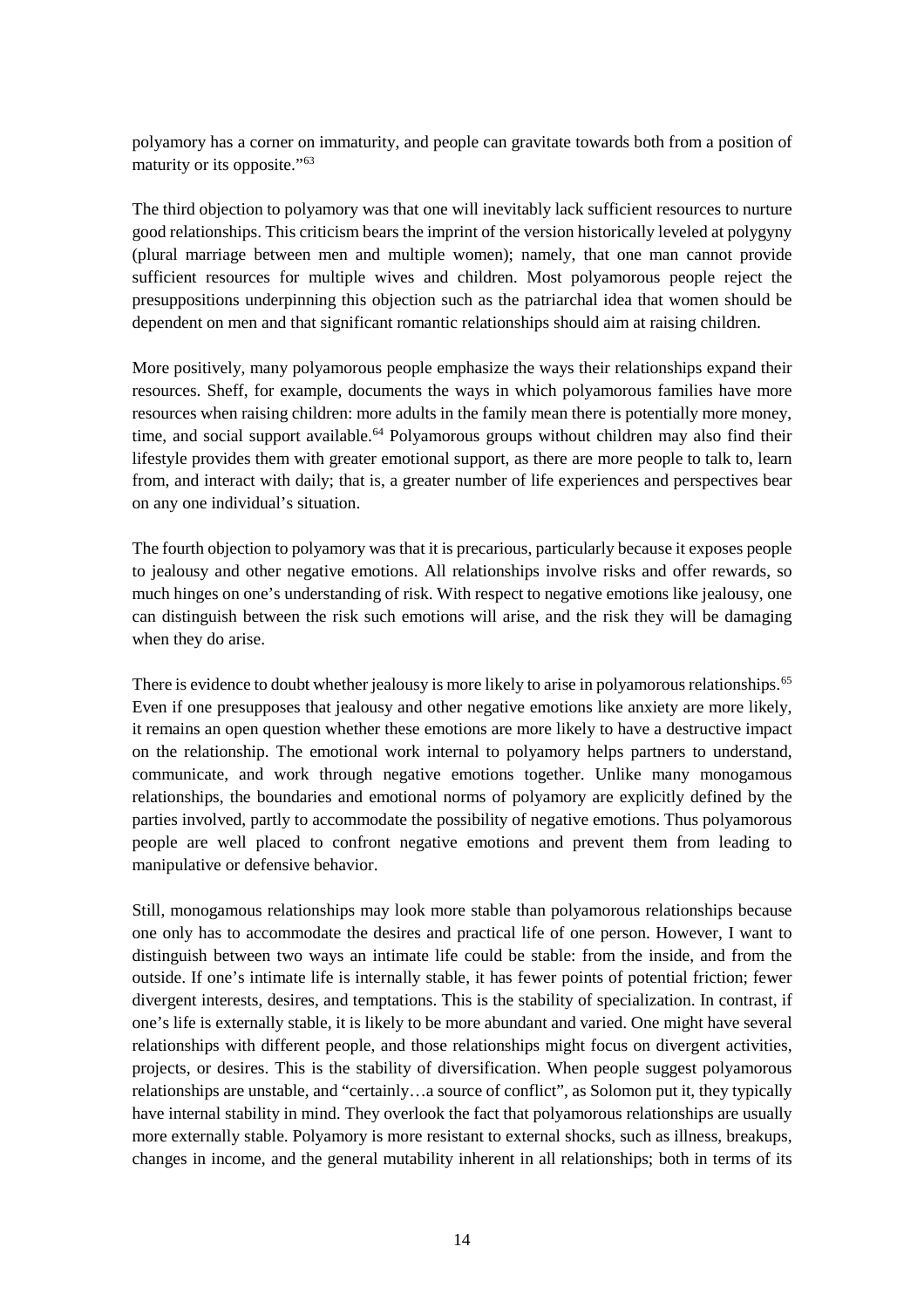polyamory has a corner on immaturity, and people can gravitate towards both from a position of maturity or its opposite."[63](#page-18-49)

The third objection to polyamory was that one will inevitably lack sufficient resources to nurture good relationships. This criticism bears the imprint of the version historically leveled at polygyny (plural marriage between men and multiple women); namely, that one man cannot provide sufficient resources for multiple wives and children. Most polyamorous people reject the presuppositions underpinning this objection such as the patriarchal idea that women should be dependent on men and that significant romantic relationships should aim at raising children.

More positively, many polyamorous people emphasize the ways their relationships expand their resources. Sheff, for example, documents the ways in which polyamorous families have more resources when raising children: more adults in the family mean there is potentially more money, time, and social support available.<sup>[64](#page-18-23)</sup> Polyamorous groups without children may also find their lifestyle provides them with greater emotional support, as there are more people to talk to, learn from, and interact with daily; that is, a greater number of life experiences and perspectives bear on any one individual's situation.

The fourth objection to polyamory was that it is precarious, particularly because it exposes people to jealousy and other negative emotions. All relationships involve risks and offer rewards, so much hinges on one's understanding of risk. With respect to negative emotions like jealousy, one can distinguish between the risk such emotions will arise, and the risk they will be damaging when they do arise.

There is evidence to doubt whether jealousy is more likely to arise in polyamorous relationships.<sup>[65](#page-18-50)</sup> Even if one presupposes that jealousy and other negative emotions like anxiety are more likely, it remains an open question whether these emotions are more likely to have a destructive impact on the relationship. The emotional work internal to polyamory helps partners to understand, communicate, and work through negative emotions together. Unlike many monogamous relationships, the boundaries and emotional norms of polyamory are explicitly defined by the parties involved, partly to accommodate the possibility of negative emotions. Thus polyamorous people are well placed to confront negative emotions and prevent them from leading to manipulative or defensive behavior.

Still, monogamous relationships may look more stable than polyamorous relationships because one only has to accommodate the desires and practical life of one person. However, I want to distinguish between two ways an intimate life could be stable: from the inside, and from the outside. If one's intimate life is internally stable, it has fewer points of potential friction; fewer divergent interests, desires, and temptations. This is the stability of specialization. In contrast, if one's life is externally stable, it is likely to be more abundant and varied. One might have several relationships with different people, and those relationships might focus on divergent activities, projects, or desires. This is the stability of diversification. When people suggest polyamorous relationships are unstable, and "certainly…a source of conflict", as Solomon put it, they typically have internal stability in mind. They overlook the fact that polyamorous relationships are usually more externally stable. Polyamory is more resistant to external shocks, such as illness, breakups, changes in income, and the general mutability inherent in all relationships; both in terms of its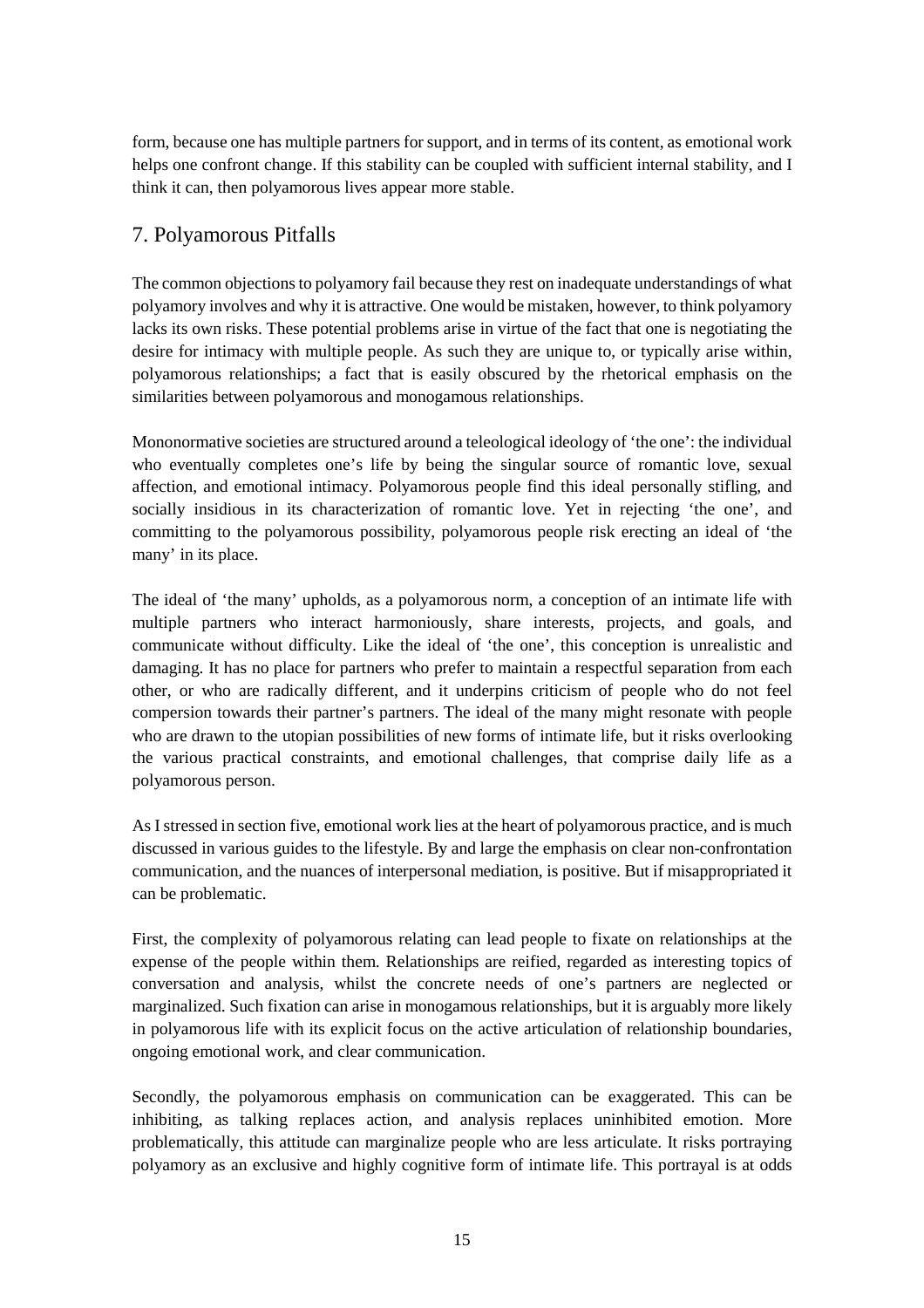form, because one has multiple partners for support, and in terms of its content, as emotional work helps one confront change. If this stability can be coupled with sufficient internal stability, and I think it can, then polyamorous lives appear more stable.

# 7. Polyamorous Pitfalls

The common objections to polyamory fail because they rest on inadequate understandings of what polyamory involves and why it is attractive. One would be mistaken, however, to think polyamory lacks its own risks. These potential problems arise in virtue of the fact that one is negotiating the desire for intimacy with multiple people. As such they are unique to, or typically arise within, polyamorous relationships; a fact that is easily obscured by the rhetorical emphasis on the similarities between polyamorous and monogamous relationships.

Mononormative societies are structured around a teleological ideology of 'the one': the individual who eventually completes one's life by being the singular source of romantic love, sexual affection, and emotional intimacy. Polyamorous people find this ideal personally stifling, and socially insidious in its characterization of romantic love. Yet in rejecting 'the one', and committing to the polyamorous possibility, polyamorous people risk erecting an ideal of 'the many' in its place.

The ideal of 'the many' upholds, as a polyamorous norm, a conception of an intimate life with multiple partners who interact harmoniously, share interests, projects, and goals, and communicate without difficulty. Like the ideal of 'the one', this conception is unrealistic and damaging. It has no place for partners who prefer to maintain a respectful separation from each other, or who are radically different, and it underpins criticism of people who do not feel compersion towards their partner's partners. The ideal of the many might resonate with people who are drawn to the utopian possibilities of new forms of intimate life, but it risks overlooking the various practical constraints, and emotional challenges, that comprise daily life as a polyamorous person.

As I stressed in section five, emotional work lies at the heart of polyamorous practice, and is much discussed in various guides to the lifestyle. By and large the emphasis on clear non-confrontation communication, and the nuances of interpersonal mediation, is positive. But if misappropriated it can be problematic.

First, the complexity of polyamorous relating can lead people to fixate on relationships at the expense of the people within them. Relationships are reified, regarded as interesting topics of conversation and analysis, whilst the concrete needs of one's partners are neglected or marginalized. Such fixation can arise in monogamous relationships, but it is arguably more likely in polyamorous life with its explicit focus on the active articulation of relationship boundaries, ongoing emotional work, and clear communication.

Secondly, the polyamorous emphasis on communication can be exaggerated. This can be inhibiting, as talking replaces action, and analysis replaces uninhibited emotion. More problematically, this attitude can marginalize people who are less articulate. It risks portraying polyamory as an exclusive and highly cognitive form of intimate life. This portrayal is at odds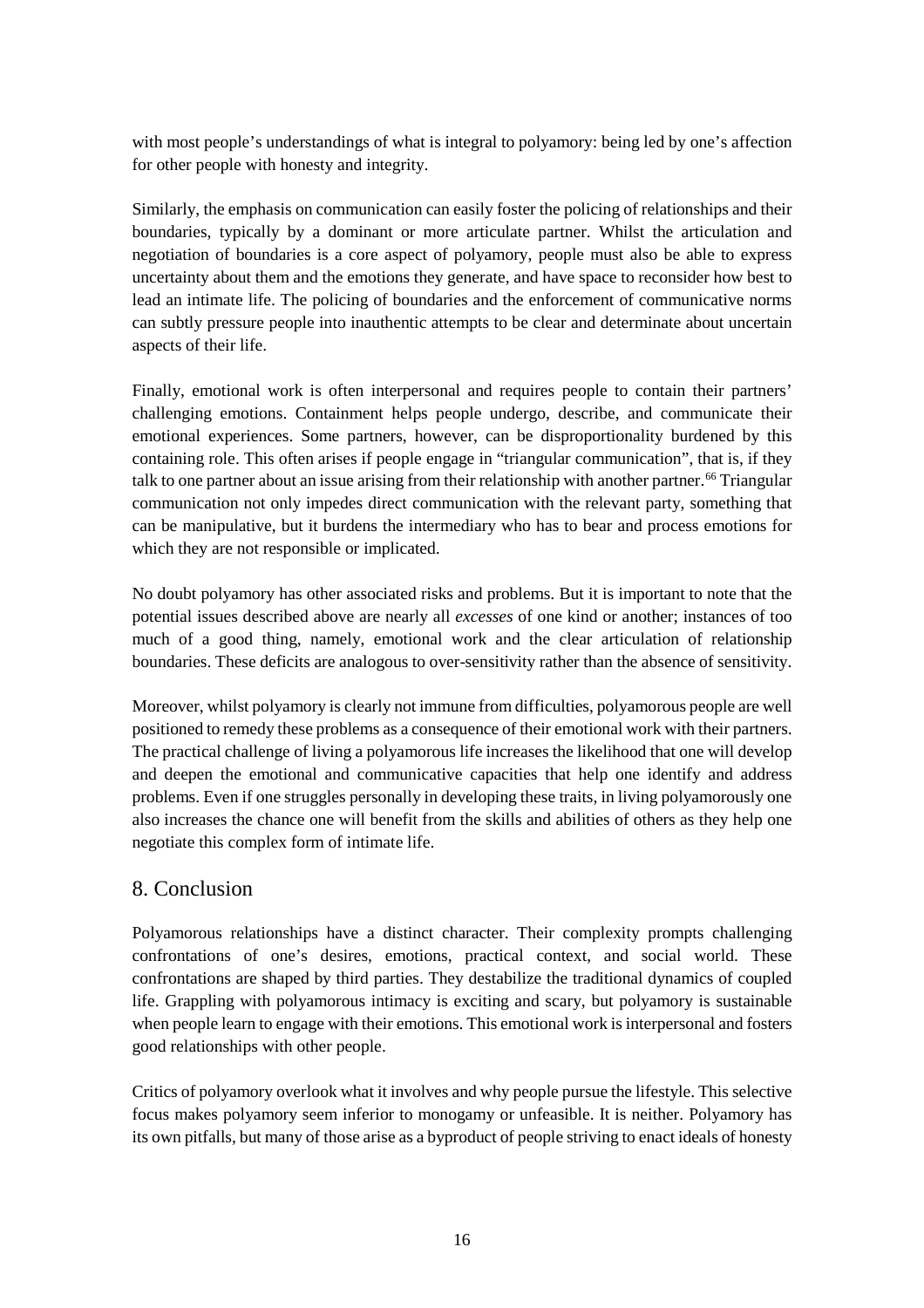with most people's understandings of what is integral to polyamory: being led by one's affection for other people with honesty and integrity.

Similarly, the emphasis on communication can easily foster the policing of relationships and their boundaries, typically by a dominant or more articulate partner. Whilst the articulation and negotiation of boundaries is a core aspect of polyamory, people must also be able to express uncertainty about them and the emotions they generate, and have space to reconsider how best to lead an intimate life. The policing of boundaries and the enforcement of communicative norms can subtly pressure people into inauthentic attempts to be clear and determinate about uncertain aspects of their life.

Finally, emotional work is often interpersonal and requires people to contain their partners' challenging emotions. Containment helps people undergo, describe, and communicate their emotional experiences. Some partners, however, can be disproportionality burdened by this containing role. This often arises if people engage in "triangular communication", that is, if they talk to one partner about an issue arising from their relationship with another partner.<sup>[66](#page-18-51)</sup> Triangular communication not only impedes direct communication with the relevant party, something that can be manipulative, but it burdens the intermediary who has to bear and process emotions for which they are not responsible or implicated.

No doubt polyamory has other associated risks and problems. But it is important to note that the potential issues described above are nearly all *excesses* of one kind or another; instances of too much of a good thing, namely, emotional work and the clear articulation of relationship boundaries. These deficits are analogous to over-sensitivity rather than the absence of sensitivity.

Moreover, whilst polyamory is clearly not immune from difficulties, polyamorous people are well positioned to remedy these problems as a consequence of their emotional work with their partners. The practical challenge of living a polyamorous life increases the likelihood that one will develop and deepen the emotional and communicative capacities that help one identify and address problems. Even if one struggles personally in developing these traits, in living polyamorously one also increases the chance one will benefit from the skills and abilities of others as they help one negotiate this complex form of intimate life.

# 8. Conclusion

Polyamorous relationships have a distinct character. Their complexity prompts challenging confrontations of one's desires, emotions, practical context, and social world. These confrontations are shaped by third parties. They destabilize the traditional dynamics of coupled life. Grappling with polyamorous intimacy is exciting and scary, but polyamory is sustainable when people learn to engage with their emotions. This emotional work is interpersonal and fosters good relationships with other people.

Critics of polyamory overlook what it involves and why people pursue the lifestyle. This selective focus makes polyamory seem inferior to monogamy or unfeasible. It is neither. Polyamory has its own pitfalls, but many of those arise as a byproduct of people striving to enact ideals of honesty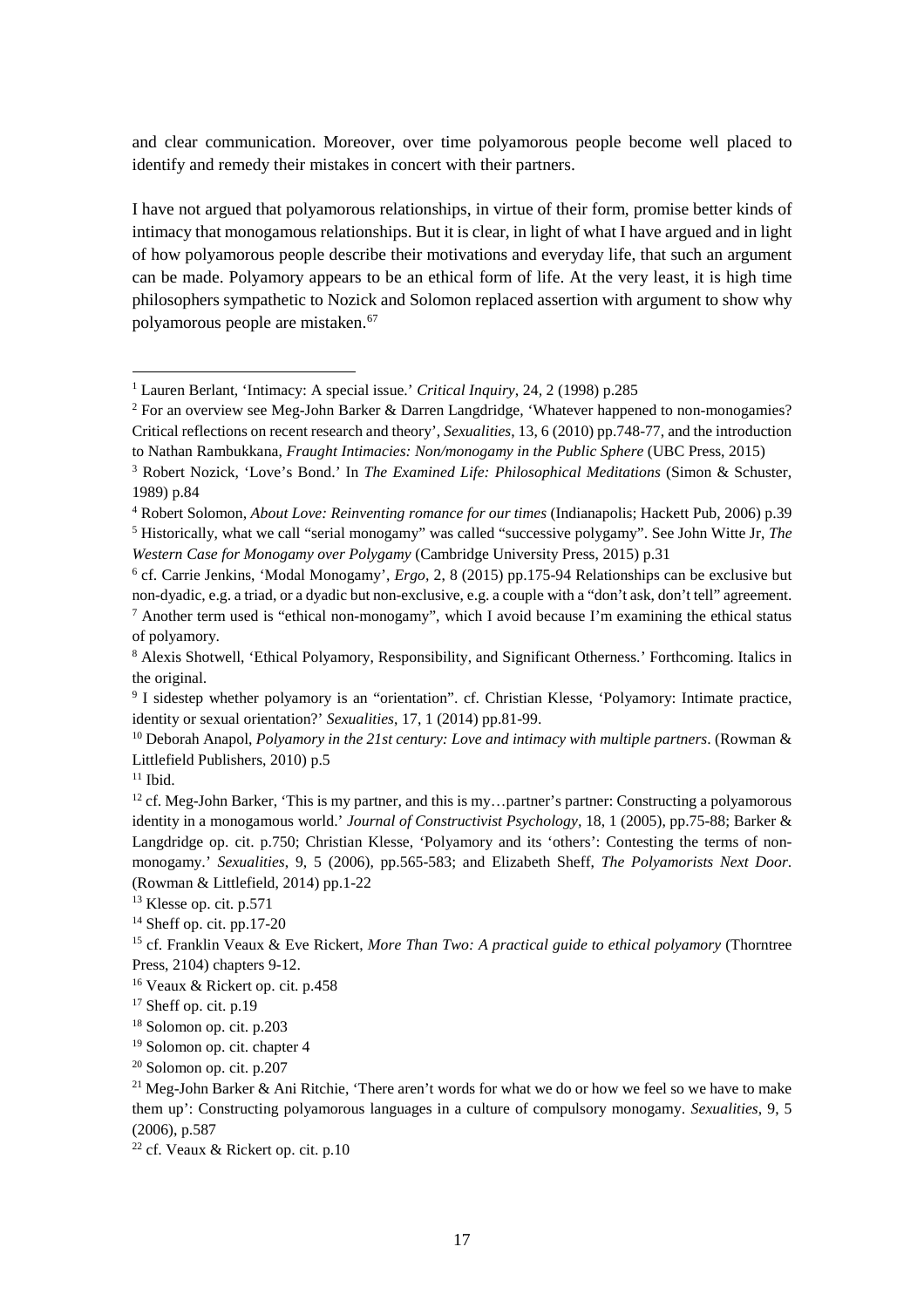and clear communication. Moreover, over time polyamorous people become well placed to identify and remedy their mistakes in concert with their partners.

I have not argued that polyamorous relationships, in virtue of their form, promise better kinds of intimacy that monogamous relationships. But it is clear, in light of what I have argued and in light of how polyamorous people describe their motivations and everyday life, that such an argument can be made. Polyamory appears to be an ethical form of life. At the very least, it is high time philosophers sympathetic to Nozick and Solomon replaced assertion with argument to show why polyamorous people are mistaken.<sup>67</sup>

j

<sup>&</sup>lt;sup>1</sup> Lauren Berlant, 'Intimacy: A special issue.' *Critical Inquiry*, 24, 2 (1998) p.285<br><sup>2</sup> For an overview see Meg-John Barker & Darren Langdridge, 'Whatever happened to non-monogamies? Critical reflections on recent research and theory', *Sexualities*, 13, 6 (2010) pp.748-77, and the introduction

to Nathan Rambukkana, *Fraught Intimacies: Non/monogamy in the Public Sphere* (UBC Press, 2015)

<sup>3</sup> Robert Nozick, 'Love's Bond.' In *The Examined Life: Philosophical Meditations* (Simon & Schuster, 1989) p.84

<sup>4</sup> Robert Solomon, *About Love: Reinventing romance for our times* (Indianapolis; Hackett Pub, 2006) p.39 <sup>5</sup> Historically, what we call "serial monogamy" was called "successive polygamy". See John Witte Jr, *The Western Case for Monogamy over Polygamy* (Cambridge University Press, 2015) p.31 <sup>6</sup> cf. Carrie Jenkins, 'Modal Monogamy', *Ergo*, 2, 8 (2015) pp.175-94 Relationships can be exclusive but

non-dyadic, e.g. a triad, or a dyadic but non-exclusive, e.g. a couple with a "don't ask, don't tell" agreement.<br><sup>7</sup> Another term used is "ethical non-monogamy", which I avoid because I'm examining the ethical status of polyamory.

<sup>8</sup> Alexis Shotwell, 'Ethical Polyamory, Responsibility, and Significant Otherness.' Forthcoming. Italics in the original.

<sup>9</sup> I sidestep whether polyamory is an "orientation". cf. Christian Klesse, 'Polyamory: Intimate practice, identity or sexual orientation?' *Sexualities*, 17, 1 (2014) pp.81-99.

<sup>10</sup> Deborah Anapol, *Polyamory in the 21st century: Love and intimacy with multiple partners*. (Rowman & Littlefield Publishers, 2010) p.5

 $11$  Ibid.

<sup>&</sup>lt;sup>12</sup> cf. Meg-John Barker, 'This is my partner, and this is my...partner's partner: Constructing a polyamorous identity in a monogamous world.' *Journal of Constructivist Psychology,* 18, 1 (2005), pp.75-88; Barker & Langdridge op. cit. p.750; Christian Klesse, 'Polyamory and its 'others': Contesting the terms of nonmonogamy.' *Sexualities*, 9, 5 (2006), pp.565-583; and Elizabeth Sheff, *The Polyamorists Next Door*. (Rowman & Littlefield, 2014) pp.1-22 13 Klesse op. cit. p.571

<sup>&</sup>lt;sup>14</sup> Sheff op. cit. pp.17-20<br><sup>15</sup> cf. Franklin Veaux & Eve Rickert, *More Than Two: A practical guide to ethical polyamory* (Thorntree Press, 2104) chapters 9-12. 16 Veaux & Rickert op. cit. p.458

 $17$  Sheff op. cit. p.19

<sup>18</sup> Solomon op. cit. p.203

<sup>&</sup>lt;sup>19</sup> Solomon op. cit. chapter 4<br><sup>20</sup> Solomon op. cit. p.207<br><sup>21</sup> Meg-John Barker & Ani Ritchie, 'There aren't words for what we do or how we feel so we have to make them up': Constructing polyamorous languages in a culture of compulsory monogamy. *Sexualities*, 9, 5 (2006), p.587<br><sup>22</sup> cf. Veaux & Rickert op. cit. p.10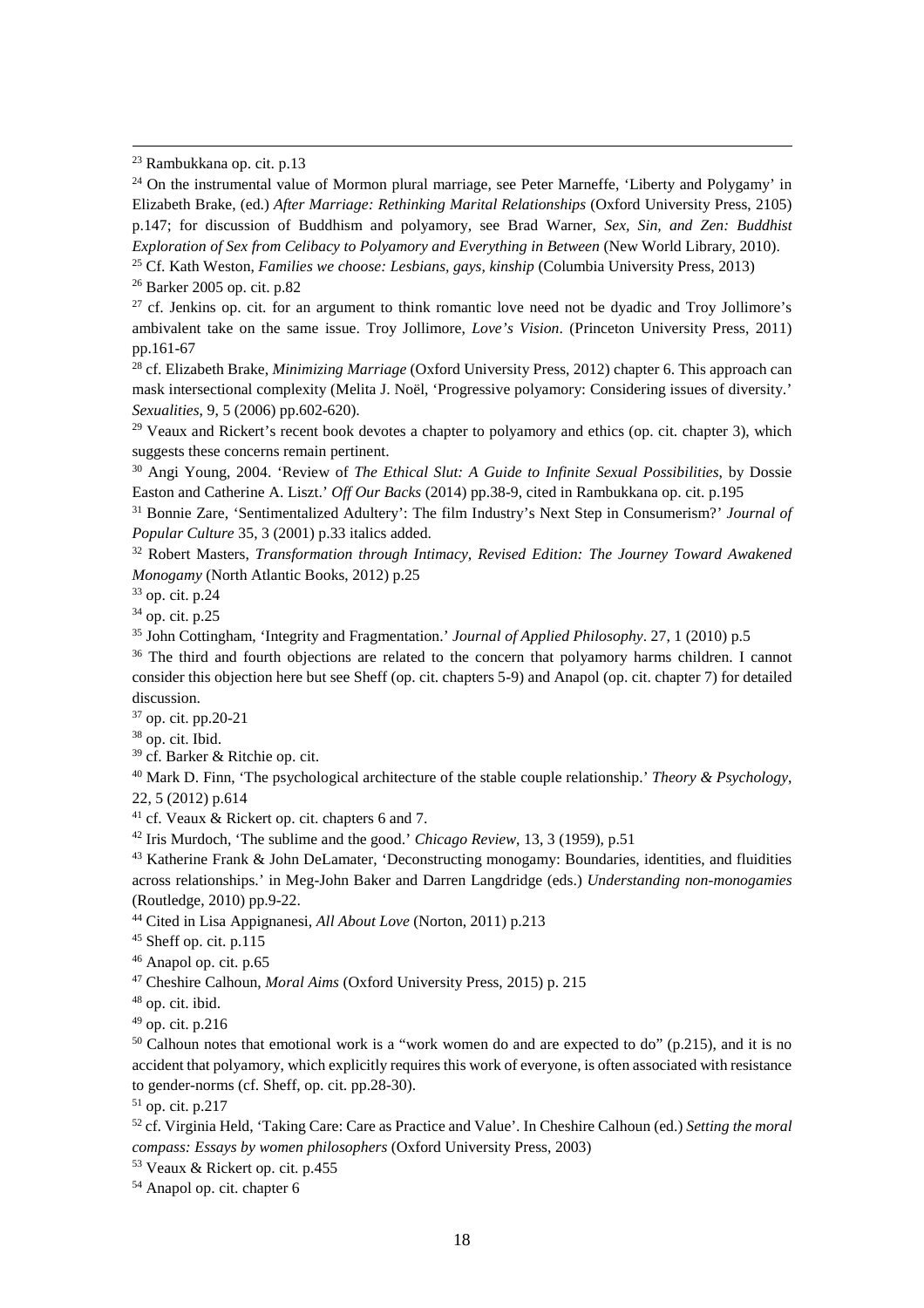-

<sup>25</sup> Cf. Kath Weston, *Families we choose: Lesbians, gays, kinship* (Columbia University Press, 2013)

<sup>26</sup> Barker 2005 op. cit. p.82

 $27$  cf. Jenkins op. cit. for an argument to think romantic love need not be dyadic and Troy Jollimore's ambivalent take on the same issue. Troy Jollimore, *Love's Vision*. (Princeton University Press, 2011) pp.161-67

<span id="page-17-0"></span><sup>28</sup> cf. Elizabeth Brake, *Minimizing Marriage* (Oxford University Press, 2012) chapter 6. This approach can mask intersectional complexity (Melita J. Noël, 'Progressive polyamory: Considering issues of diversity.' *Sexualities*, 9, 5 (2006) pp.602-620).

<span id="page-17-1"></span><sup>29</sup> Veaux and Rickert's recent book devotes a chapter to polyamory and ethics (op. cit. chapter 3), which suggests these concerns remain pertinent.

<span id="page-17-2"></span><sup>30</sup> Angi Young, 2004. 'Review of *The Ethical Slut: A Guide to Infinite Sexual Possibilities*, by Dossie Easton and Catherine A. Liszt.' *Off Our Backs* (2014) pp.38-9, cited in Rambukkana op. cit. p.195

<span id="page-17-3"></span><sup>31</sup> Bonnie Zare, 'Sentimentalized Adultery': The film Industry's Next Step in Consumerism?' *Journal of Popular Culture* 35, 3 (2001) p.33 italics added.<br><sup>32</sup> Robert Masters, *Transformation through Intimacy, Revised Edition: The Journey Toward Awakened* 

<span id="page-17-5"></span><span id="page-17-4"></span>*Monogamy* (North Atlantic Books, 2012) p.25

<sup>33</sup> op. cit. p.24

<sup>34</sup> op. cit. p.25

<sup>35</sup> John Cottingham, 'Integrity and Fragmentation.' *Journal of Applied Philosophy*. 27, 1 (2010) p.5

<sup>36</sup> The third and fourth objections are related to the concern that polyamory harms children. I cannot consider this objection here but see Sheff (op. cit. chapters 5-9) and Anapol (op. cit. chapter 7) for detailed discussion.

 $37$  op. cit. pp.20-21<br> $38$  op. cit. Ibid.

<sup>39</sup> cf. Barker & Ritchie op. cit.

<sup>40</sup> Mark D. Finn, 'The psychological architecture of the stable couple relationship.' *Theory & Psychology*, 22, 5 (2012) p.614

<sup>41</sup> cf. Veaux & Rickert op. cit. chapters 6 and 7. 42 Iris Murdoch, 'The sublime and the good.' *Chicago Review*, 13, 3 (1959), p.51

<sup>43</sup> Katherine Frank & John DeLamater, 'Deconstructing monogamy: Boundaries, identities, and fluidities across relationships.' in Meg-John Baker and Darren Langdridge (eds.) *Understanding non-monogamies* (Routledge, 2010) pp.9-22.

<sup>44</sup> Cited in Lisa Appignanesi, *All About Love* (Norton, 2011) p.213

 $45$  Sheff op. cit. p.115<br> $46$  Anapol op. cit. p.65

<sup>47</sup> Cheshire Calhoun, *Moral Aims* (Oxford University Press, 2015) p. 215

<sup>48</sup> op. cit. ibid.

 $49$  op. cit. p.216

<sup>50</sup> Calhoun notes that emotional work is a "work women do and are expected to do" (p.215), and it is no accident that polyamory, which explicitly requires this work of everyone, is often associated with resistance to gender-norms (cf. Sheff, op. cit. pp.28-30).

<sup>51</sup> op. cit. p.217

<sup>52</sup> cf. Virginia Held, 'Taking Care: Care as Practice and Value'. In Cheshire Calhoun (ed.) *Setting the moral compass: Essays by women philosophers* (Oxford University Press, 2003)

<sup>53</sup> Veaux & Rickert op. cit. p.455 54 Anapol op. cit. chapter 6

<sup>23</sup> Rambukkana op. cit. p.13

 $24$  On the instrumental value of Mormon plural marriage, see Peter Marneffe, 'Liberty and Polygamy' in Elizabeth Brake, (ed.) *After Marriage: Rethinking Marital Relationships* (Oxford University Press, 2105) p.147; for discussion of Buddhism and polyamory, see Brad Warner, *Sex, Sin, and Zen: Buddhist Exploration of Sex from Celibacy to Polyamory and Everything in Between* (New World Library, 2010).